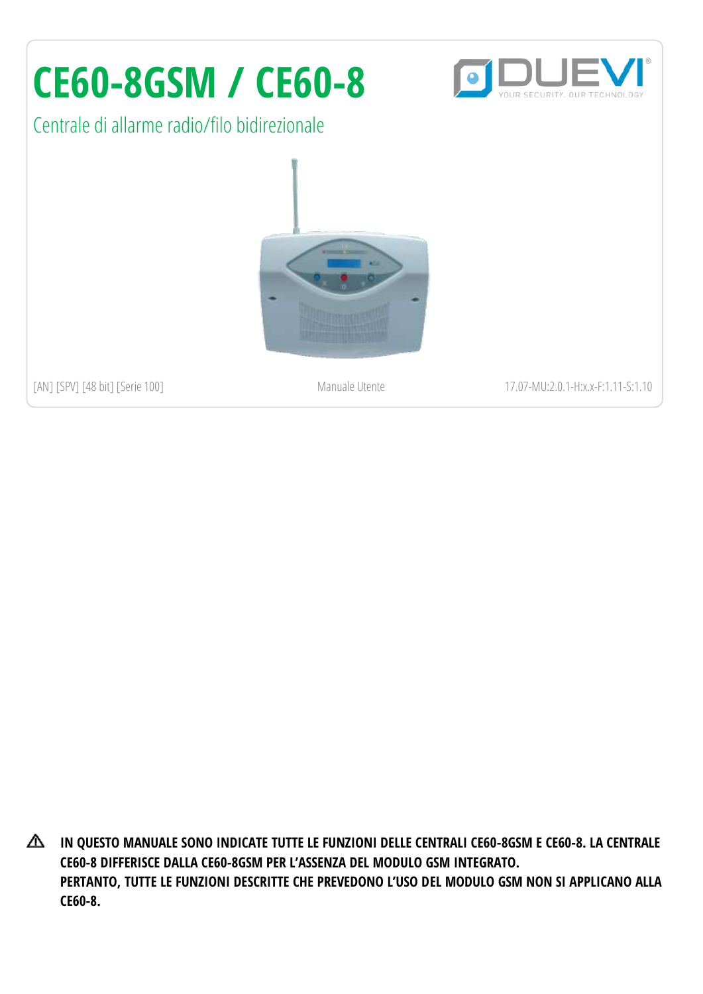# **CE60-8GSM / CE60-8**

Centrale di allarme radio/filo bidirezionale



[AN] [SPV] [48 bit] [Serie 100] Manuale Utente 17.07-MU:2.0.1-H:x.x-F:1.11-S:1.10

**IN QUESTO MANUALE SONO INDICATE TUTTE LE FUNZIONI DELLE CENTRALI CE60-8GSM E CE60-8. LA CENTRALE CE60-8 DIFFERISCE DALLA CE60-8GSM PER L'ASSENZA DEL MODULO GSM INTEGRATO. PERTANTO, TUTTE LE FUNZIONI DESCRITTE CHE PREVEDONO L'USO DEL MODULO GSM NON SI APPLICANO ALLA CE60-8.**

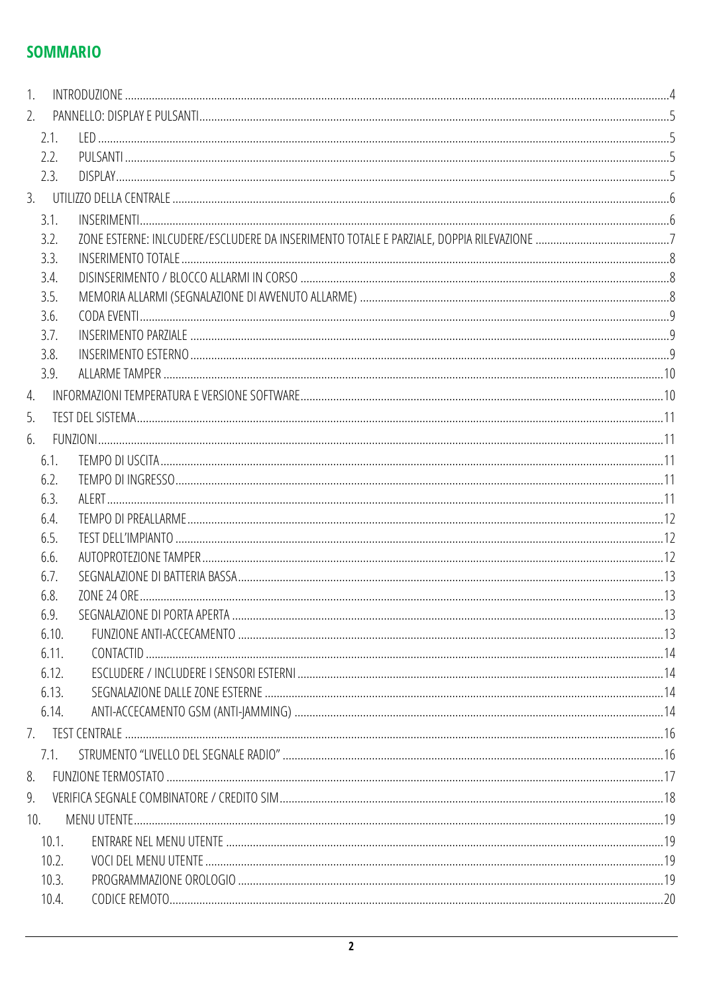### **SOMMARIO**

| 2.    |  |
|-------|--|
| 2.1.  |  |
| 2.2.  |  |
| 2.3.  |  |
|       |  |
| 3.1.  |  |
| 3.2.  |  |
| 3.3.  |  |
| 3.4.  |  |
| 3.5.  |  |
| 3.6.  |  |
| 3.7.  |  |
| 3.8.  |  |
| 3.9.  |  |
| 4.    |  |
| 5.    |  |
| 6.    |  |
| 6.1.  |  |
| 6.2.  |  |
| 6.3.  |  |
| 6.4.  |  |
| 6.5.  |  |
| 6.6.  |  |
| 6.7.  |  |
| 6.8.  |  |
| 6.9.  |  |
| 6.10. |  |
| 6.11. |  |
| 6.12. |  |
| 6.13. |  |
| 6.14. |  |
|       |  |
| 7.1.  |  |
|       |  |
|       |  |
| 10.   |  |
| 10.1. |  |
| 10.2. |  |
| 10.3. |  |
| 10.4. |  |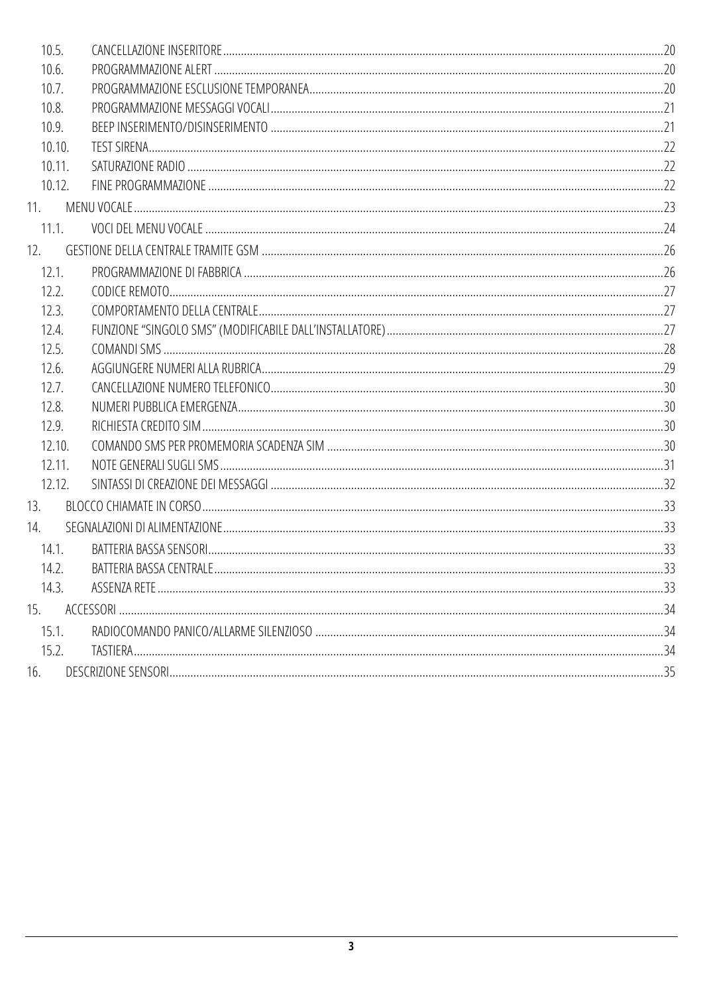| 10.5.  |  |
|--------|--|
| 10.6.  |  |
| 10.7.  |  |
| 10.8.  |  |
| 10.9.  |  |
| 10.10. |  |
| 10.11. |  |
| 10.12. |  |
| 11.    |  |
| 11.1.  |  |
| 12.    |  |
| 12.1.  |  |
| 12.2.  |  |
| 12.3.  |  |
| 12.4.  |  |
| 12.5.  |  |
| 12.6.  |  |
| 12.7.  |  |
| 12.8.  |  |
| 12.9.  |  |
| 12.10. |  |
| 12.11. |  |
| 12.12. |  |
| 13.    |  |
| 14.    |  |
| 14.1.  |  |
| 14.2.  |  |
| 14.3.  |  |
| 15.    |  |
| 15.1.  |  |
| 15.2.  |  |
| 16.    |  |
|        |  |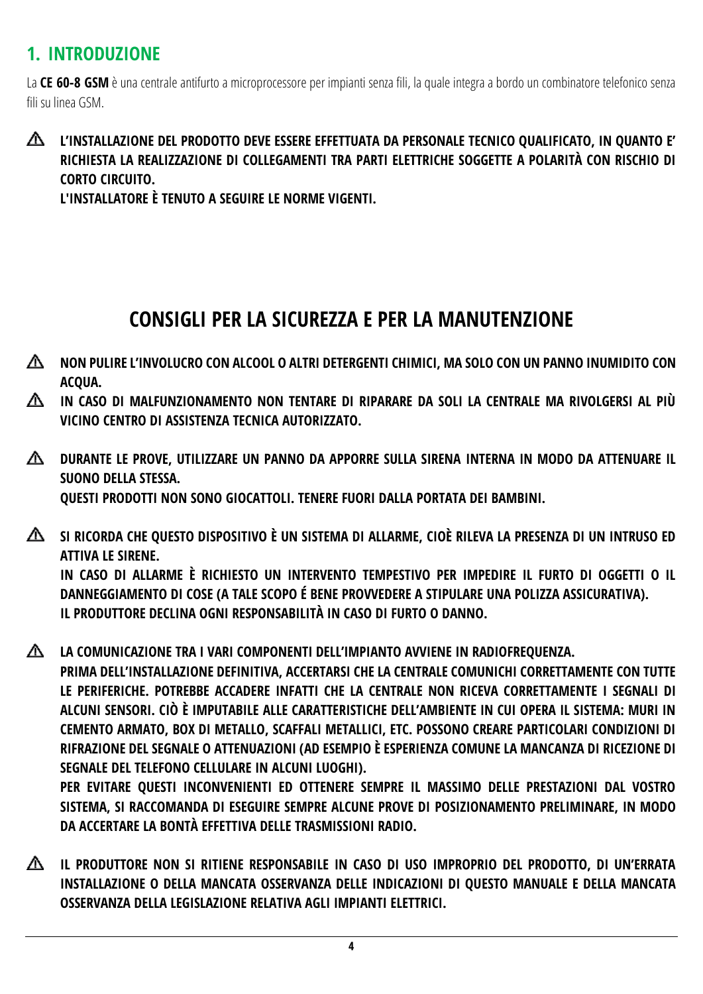## <span id="page-3-0"></span>**1. INTRODUZIONE**

La **CE 60-8 GSM** è una centrale antifurto a microprocessore per impianti senza fili, la quale integra a bordo un combinatore telefonico senza fili su linea GSM.

#### ◭ **L'INSTALLAZIONE DEL PRODOTTO DEVE ESSERE EFFETTUATA DA PERSONALE TECNICO QUALIFICATO, IN QUANTO E' RICHIESTA LA REALIZZAZIONE DI COLLEGAMENTI TRA PARTI ELETTRICHE SOGGETTE A POLARITÀ CON RISCHIO DI CORTO CIRCUITO.**

**L'INSTALLATORE È TENUTO A SEGUIRE LE NORME VIGENTI.**

## **CONSIGLI PER LA SICUREZZA E PER LA MANUTENZIONE**

- **NON PULIRE L'INVOLUCRO CON ALCOOL O ALTRI DETERGENTI CHIMICI, MA SOLO CON UN PANNO INUMIDITO CON ACQUA.**
- **IN CASO DI MALFUNZIONAMENTO NON TENTARE DI RIPARARE DA SOLI LA CENTRALE MA RIVOLGERSI AL PIÙ VICINO CENTRO DI ASSISTENZA TECNICA AUTORIZZATO.**
- **DURANTE LE PROVE, UTILIZZARE UN PANNO DA APPORRE SULLA SIRENA INTERNA IN MODO DA ATTENUARE IL SUONO DELLA STESSA. QUESTI PRODOTTI NON SONO GIOCATTOLI. TENERE FUORI DALLA PORTATA DEI BAMBINI.**
- **SI RICORDA CHE QUESTO DISPOSITIVO È UN SISTEMA DI ALLARME, CIOÈ RILEVA LA PRESENZA DI UN INTRUSO ED ATTIVA LE SIRENE. IN CASO DI ALLARME È RICHIESTO UN INTERVENTO TEMPESTIVO PER IMPEDIRE IL FURTO DI OGGETTI O IL DANNEGGIAMENTO DI COSE (A TALE SCOPO É BENE PROVVEDERE A STIPULARE UNA POLIZZA ASSICURATIVA). IL PRODUTTORE DECLINA OGNI RESPONSABILITÀ IN CASO DI FURTO O DANNO.**
- **LA COMUNICAZIONE TRA I VARI COMPONENTI DELL'IMPIANTO AVVIENE IN RADIOFREQUENZA. PRIMA DELL'INSTALLAZIONE DEFINITIVA, ACCERTARSI CHE LA CENTRALE COMUNICHI CORRETTAMENTE CON TUTTE LE PERIFERICHE. POTREBBE ACCADERE INFATTI CHE LA CENTRALE NON RICEVA CORRETTAMENTE I SEGNALI DI ALCUNI SENSORI. CIÒ È IMPUTABILE ALLE CARATTERISTICHE DELL'AMBIENTE IN CUI OPERA IL SISTEMA: MURI IN CEMENTO ARMATO, BOX DI METALLO, SCAFFALI METALLICI, ETC. POSSONO CREARE PARTICOLARI CONDIZIONI DI RIFRAZIONE DEL SEGNALE O ATTENUAZIONI (AD ESEMPIO È ESPERIENZA COMUNE LA MANCANZA DI RICEZIONE DI SEGNALE DEL TELEFONO CELLULARE IN ALCUNI LUOGHI).**

**PER EVITARE QUESTI INCONVENIENTI ED OTTENERE SEMPRE IL MASSIMO DELLE PRESTAZIONI DAL VOSTRO SISTEMA, SI RACCOMANDA DI ESEGUIRE SEMPRE ALCUNE PROVE DI POSIZIONAMENTO PRELIMINARE, IN MODO DA ACCERTARE LA BONTÀ EFFETTIVA DELLE TRASMISSIONI RADIO.**

∧ **IL PRODUTTORE NON SI RITIENE RESPONSABILE IN CASO DI USO IMPROPRIO DEL PRODOTTO, DI UN'ERRATA INSTALLAZIONE O DELLA MANCATA OSSERVANZA DELLE INDICAZIONI DI QUESTO MANUALE E DELLA MANCATA OSSERVANZA DELLA LEGISLAZIONE RELATIVA AGLI IMPIANTI ELETTRICI.**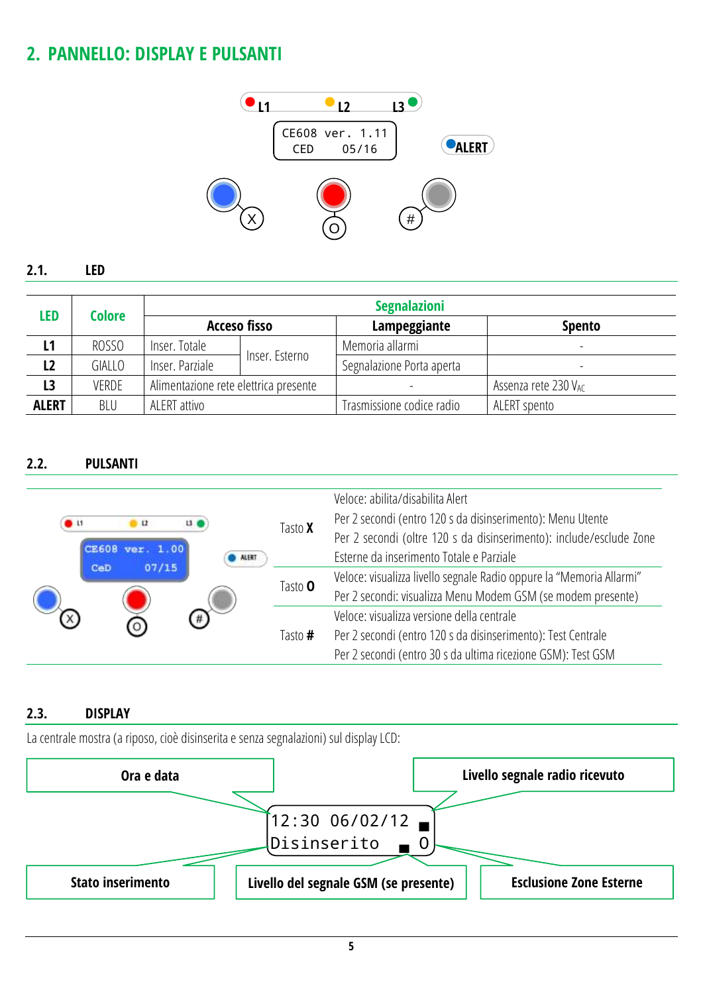## <span id="page-4-0"></span>**2. PANNELLO: DISPLAY E PULSANTI**



#### <span id="page-4-1"></span>**2.1. LED**

| <b>LED</b>     | Colore |                                       | <b>Acceso fisso</b> | Lampeggiante              | <b>Spento</b>            |
|----------------|--------|---------------------------------------|---------------------|---------------------------|--------------------------|
| L1             | ROSSO  | Inser. Totale                         |                     | Memoria allarmi           | $\overline{\phantom{a}}$ |
| L <sub>2</sub> | GIALLO | Inser, Parziale                       | Inser. Esterno      | Segnalazione Porta aperta | $\overline{\phantom{0}}$ |
| L <sub>3</sub> | VERDE  | Alimentazione rete elettrica presente |                     |                           | Assenza rete 230 VAC     |
| <b>ALERT</b>   | BLU    | ALERT attivo                          |                     | Trasmissione codice radio | ALERT spento             |

#### <span id="page-4-2"></span>**2.2. PULSANTI**

| 11<br><b>CE608</b> | $\mathbf{u}$<br>07/15 | 13<br><b>ALERT</b> | Tasto <b>X</b> | Veloce: abilita/disabilita Alert<br>Per 2 secondi (entro 120 s da disinserimento): Menu Utente<br>Per 2 secondi (oltre 120 s da disinserimento): include/esclude Zone<br>Esterne da inserimento Totale e Parziale |
|--------------------|-----------------------|--------------------|----------------|-------------------------------------------------------------------------------------------------------------------------------------------------------------------------------------------------------------------|
| CeD                |                       |                    | Tasto <b>O</b> | Veloce: visualizza livello segnale Radio oppure la "Memoria Allarmi"<br>Per 2 secondi: visualizza Menu Modem GSM (se modem presente)                                                                              |
|                    |                       | #)                 | Tasto #        | Veloce: visualizza versione della centrale<br>Per 2 secondi (entro 120 s da disinserimento): Test Centrale<br>Per 2 secondi (entro 30 s da ultima ricezione GSM): Test GSM                                        |

#### <span id="page-4-3"></span>**2.3. DISPLAY**

La centrale mostra (a riposo, cioè disinserita e senza segnalazioni) sul display LCD:

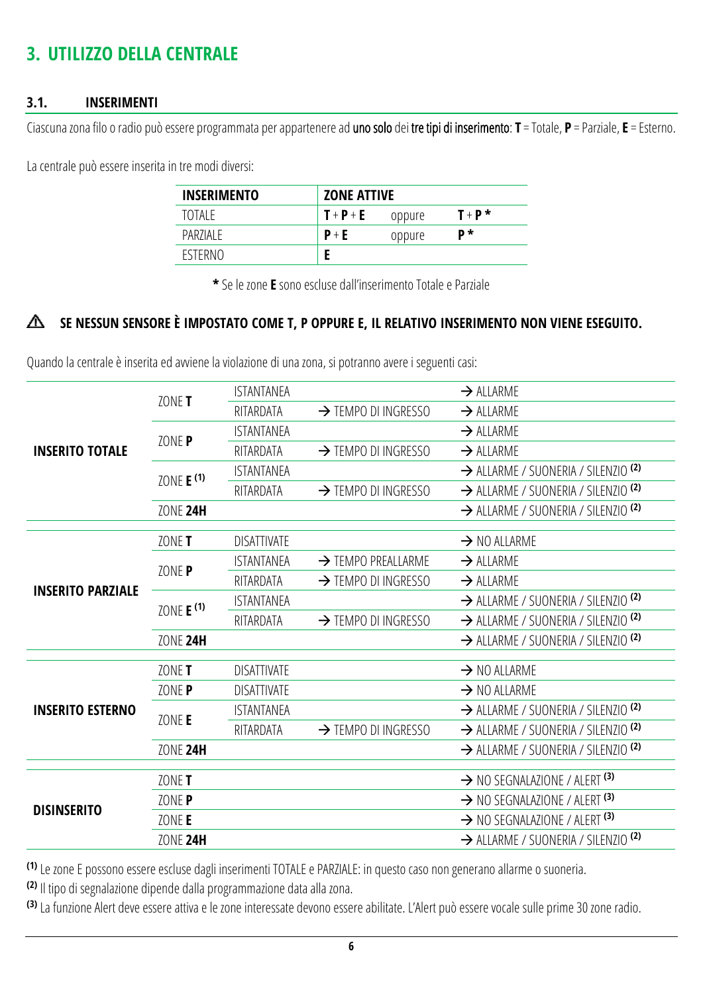## <span id="page-5-0"></span>**3. UTILIZZO DELLA CENTRALE**

#### <span id="page-5-1"></span>**3.1. INSERIMENTI**

Ciascunazona filo o radio può essere programmata per appartenere ad uno solo dei tre tipi di inserimento: **T** = Totale, **P** = Parziale, **E** = Esterno.

La centrale può essere inserita in tre modi diversi:

| <b>INSERIMENTO</b> |         | <b>ZONE ATTIVE</b> |         |  |
|--------------------|---------|--------------------|---------|--|
| TOTAI F            | $T+P+E$ | oppure             | $T+P^*$ |  |
| PAR7IAI F          | $P + E$ | oppure             | D*      |  |
| <b>FSTERNO</b>     |         |                    |         |  |

**\*** Se le zone **E** sono escluse dall'inserimento Totale e Parziale

#### **SE NESSUN SENSORE È IMPOSTATO COME T, P OPPURE E, IL RELATIVO INSERIMENTO NON VIENE ESEGUITO.** Δ

Quando la centrale è inserita ed avviene la violazione di una zona, si potranno avere i seguenti casi:

|                          | ZONE T                | <b>ISTANTANEA</b>  |                                 | $\rightarrow$ ALLARME                          |
|--------------------------|-----------------------|--------------------|---------------------------------|------------------------------------------------|
|                          |                       | RITARDATA          | $\rightarrow$ TEMPO DI INGRESSO | $\rightarrow$ ALLARME                          |
|                          | ZONE P                | <b>ISTANTANEA</b>  |                                 | $\rightarrow$ ALLARME                          |
| <b>INSERITO TOTALE</b>   |                       | RITARDATA          | >TEMPO DI INGRESSO              | $\rightarrow$ ALLARME                          |
|                          | ZONE E <sup>(1)</sup> | <b>ISTANTANEA</b>  |                                 | > ALLARME / SUONERIA / SILENZIO <sup>(2)</sup> |
|                          |                       | RITARDATA          | >TEMPO DI INGRESSO              | > ALLARME / SUONERIA / SILENZIO <sup>(2)</sup> |
|                          | <b>ZONE 24H</b>       |                    |                                 | > ALLARME / SUONERIA / SILENZIO <sup>(2)</sup> |
|                          |                       |                    |                                 |                                                |
|                          | ZONE T                | <b>DISATTIVATE</b> |                                 | $\rightarrow$ NO ALLARME                       |
|                          | ZONE P                | <b>ISTANTANEA</b>  | $\rightarrow$ TEMPO PREALLARME  | $\rightarrow$ ALLARME                          |
| <b>INSERITO PARZIALE</b> |                       | RITARDATA          | >TEMPO DI INGRESSO              | $\rightarrow$ ALLARME                          |
|                          | ZONE $E^{(1)}$        | <b>ISTANTANEA</b>  |                                 | > ALLARME / SUONERIA / SILENZIO <sup>(2)</sup> |
|                          |                       | RITARDATA          | $\rightarrow$ TEMPO DI INGRESSO | > ALLARME / SUONERIA / SILENZIO <sup>(2)</sup> |
|                          | <b>ZONE 24H</b>       |                    |                                 | > ALLARME / SUONERIA / SILENZIO <sup>(2)</sup> |
|                          | ZONE <b>T</b>         | <b>DISATTIVATE</b> |                                 | $\rightarrow$ NO ALLARME                       |
|                          | ZONE P                | <b>DISATTIVATE</b> |                                 | $\rightarrow$ NO ALLARME                       |
|                          |                       |                    |                                 |                                                |
| <b>INSERITO ESTERNO</b>  | ZONE E                | <b>ISTANTANEA</b>  |                                 | > ALLARME / SUONERIA / SILENZIO <sup>(2)</sup> |
|                          |                       | RITARDATA          | $\rightarrow$ TEMPO DI INGRESSO | > ALLARME / SUONERIA / SILENZIO <sup>(2)</sup> |
|                          | <b>ZONE 24H</b>       |                    |                                 | > ALLARME / SUONERIA / SILENZIO <sup>(2)</sup> |
| <b>DISINSERITO</b>       | ZONE T                |                    |                                 | $\rightarrow$ NO SEGNALAZIONE / ALERT (3)      |
|                          | ZONE P                |                    |                                 | $\rightarrow$ NO SEGNALAZIONE / ALERT (3)      |
|                          | ZONE E                |                    |                                 | $\rightarrow$ NO SEGNALAZIONE / ALERT (3)      |
|                          | <b>ZONE 24H</b>       |                    |                                 | > ALLARME / SUONERIA / SILENZIO <sup>(2)</sup> |

**(1)** Le zone E possono essere escluse dagli inserimenti TOTALE e PARZIALE: in questo caso non generano allarme o suoneria.

**(2)** Il tipo di segnalazione dipende dalla programmazione data alla zona.

**(3)** La funzione Alert deve essere attiva e le zone interessate devono essere abilitate. L'Alert può essere vocale sulle prime 30 zone radio.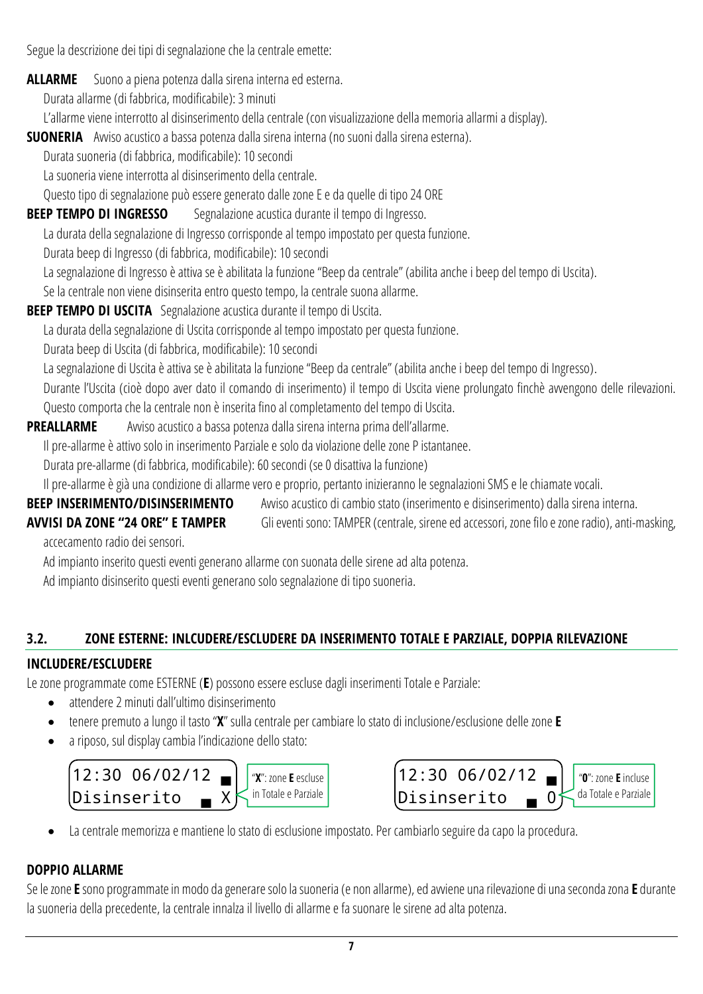Segue la descrizione dei tipi di segnalazione che la centrale emette:

**ALLARME** Suono a piena potenza dalla sirena interna ed esterna.

Durata allarme (di fabbrica, modificabile): 3 minuti

L'allarme viene interrotto al disinserimento della centrale (con visualizzazione della memoria allarmi a display).

**SUONERIA** Awiso acustico a bassa potenza dalla sirena interna (no suoni dalla sirena esterna).

Durata suoneria (di fabbrica, modificabile): 10 secondi

La suoneria viene interrotta al disinserimento della centrale.

Questo tipo di segnalazione può essere generato dalle zone E e da quelle di tipo 24 ORE

**BEEP TEMPO DI INGRESSO** Segnalazione acustica durante il tempo di Ingresso.

La durata della segnalazione di Ingresso corrisponde al tempo impostato per questa funzione.

Durata beep di Ingresso (di fabbrica, modificabile): 10 secondi

La segnalazione di Ingresso è attiva se è abilitata la funzione "Beep da centrale" (abilita anche i beep del tempo di Uscita).

Se la centrale non viene disinserita entro questo tempo, la centrale suona allarme.

**BEEP TEMPO DI USCITA** Segnalazione acustica durante il tempo di Uscita.

La durata della segnalazione di Uscita corrisponde al tempo impostato per questa funzione.

Durata beep di Uscita (di fabbrica, modificabile): 10 secondi

La segnalazione di Uscita è attiva se è abilitata la funzione "Beep da centrale" (abilita anche i beep del tempo di Ingresso).

Durante l'Uscita (cioè dopo aver dato il comando di inserimento) il tempo di Uscita viene prolungato finchè avvengono delle rilevazioni. Questo comporta che la centrale non è inserita fino al completamento del tempo di Uscita.

### **PREALLARME** Avviso acustico a bassa potenza dalla sirena interna prima dell'allarme.

Il pre-allarme è attivo solo in inserimento Parziale e solo da violazione delle zone P istantanee.

Durata pre-allarme (di fabbrica, modificabile): 60 secondi (se 0 disattiva la funzione)

Il pre-allarme è già una condizione di allarme vero e proprio, pertanto inizieranno le segnalazioni SMS e le chiamate vocali.

**BEEP INSERIMENTO/DISINSERIMENTO** Avviso acustico di cambio stato (inserimento e disinserimento) dalla sirena interna.

**AVVISI DA ZONE "24 ORE" E TAMPER** Gli eventi sono: TAMPER (centrale, sirene ed accessori, zone filo e zone radio), anti-masking,

accecamento radio dei sensori.

Ad impianto inserito questi eventi generano allarme con suonata delle sirene ad alta potenza.

Ad impianto disinserito questi eventi generano solo segnalazione di tipo suoneria.

### <span id="page-6-0"></span>**3.2. ZONE ESTERNE: INLCUDERE/ESCLUDERE DA INSERIMENTO TOTALE E PARZIALE, DOPPIA RILEVAZIONE**

### **INCLUDERE/ESCLUDERE**

Le zone programmate come ESTERNE (E) possono essere escluse dagli inserimenti Totale e Parziale:

- attendere 2 minuti dall'ultimo disinserimento
- tenere premuto a lungo il tasto "**X**" sulla centrale per cambiare lo stato di inclusione/esclusione delle zone **E**
- a riposo, sul display cambia l'indicazione dello stato:





La centrale memorizza e mantiene lo stato di esclusione impostato. Per cambiarlo seguire da capo la procedura.

## **DOPPIO ALLARME**

Se le zone **E** sono programmate in modo da generare solo la suoneria (e non allarme), ed avviene una rilevazione di una seconda zona **E** durante la suoneria della precedente, la centrale innalza il livello di allarme e fa suonare le sirene ad alta potenza.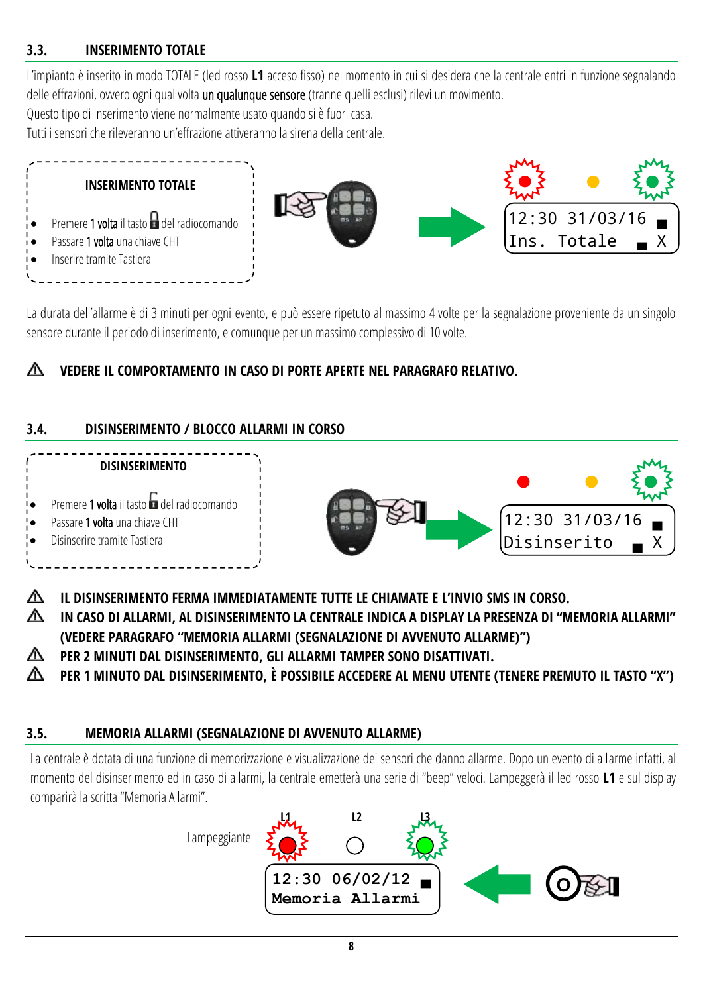#### <span id="page-7-0"></span>**3.3. INSERIMENTO TOTALE**

L'impianto è inserito in modo TOTALE (led rosso **L1** acceso fisso) nel momento in cui si desidera che la centrale entri in funzione segnalando delle effrazioni, ovvero ogni qual volta un qualunque sensore (tranne quelli esclusi) rilevi un movimento.

Questo tipo di inserimento viene normalmente usato quando si è fuori casa.

Tutti i sensori che rileveranno un'effrazione attiveranno la sirena della centrale.



La durata dell'allarme è di 3 minuti per ogni evento, e può essere ripetuto al massimo 4 volte per la segnalazione proveniente da un singolo sensore durante il periodo di inserimento, e comunque per un massimo complessivo di 10 volte.

### **VEDERE IL COMPORTAMENTO IN CASO DI PORTE APERTE NEL PARAGRAFO RELATIVO.**

#### <span id="page-7-1"></span>**3.4. DISINSERIMENTO / BLOCCO ALLARMI IN CORSO**



∧ **IL DISINSERIMENTO FERMA IMMEDIATAMENTE TUTTE LE CHIAMATE E L'INVIO SMS IN CORSO.**

- ∧ **IN CASO DI ALLARMI, AL DISINSERIMENTO LA CENTRALE INDICA A DISPLAY LA PRESENZA DI "MEMORIA ALLARMI" (VEDERE PARAGRAFO "MEMORIA ALLARMI [\(SEGNALAZIONE DI AVVENUTO ALLARME\)](#page-7-2)")**
- **PER 2 MINUTI DAL DISINSERIMENTO, GLI ALLARMI TAMPER SONO DISATTIVATI.**
- PER 1 MINUTO DAL DISINSERIMENTO, È POSSIBILE ACCEDERE AL MENU UTENTE (TENERE PREMUTO IL TASTO "X") AN.

#### <span id="page-7-2"></span>**3.5. MEMORIA ALLARMI (SEGNALAZIONE DI AVVENUTO ALLARME)**

La centrale è dotata di una funzione di memorizzazione e visualizzazione dei sensori che danno allarme. Dopo un evento di allarme infatti, al momento del disinserimento ed in caso di allarmi, la centrale emetterà una serie di "beep" veloci. Lampeggerà il led rosso **L1** e sul display comparirà la scritta "Memoria Allarmi".

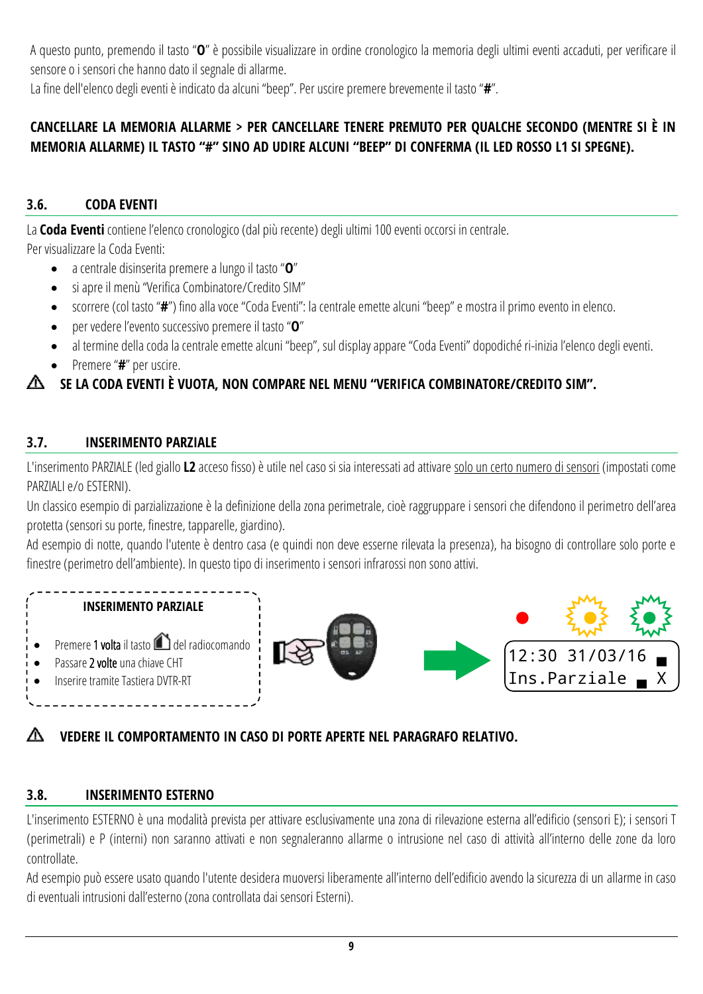A questo punto, premendo il tasto "**O**" è possibile visualizzare in ordine cronologico la memoria degli ultimi eventi accaduti, per verificare il sensore o i sensori che hanno dato il segnale di allarme.

La fine dell'elenco degli eventi è indicato da alcuni "beep". Per uscire premere brevemente il tasto "**#**".

#### **CANCELLARE LA MEMORIA ALLARME > PER CANCELLARE TENERE PREMUTO PER QUALCHE SECONDO (MENTRE SI È IN MEMORIA ALLARME) IL TASTO "#" SINO AD UDIRE ALCUNI "BEEP" DI CONFERMA (IL LED ROSSO L1 SI SPEGNE).**

### <span id="page-8-0"></span>**3.6. CODA EVENTI**

La **Coda Eventi** contiene l'elenco cronologico (dal più recente) degli ultimi 100 eventi occorsi in centrale.

Per visualizzare la Coda Eventi:

- a centrale disinserita premere a lungo il tasto "**O**"
- si apre il menù "Verifica Combinatore/Credito SIM"
- scorrere (col tasto "**#**") fino alla voce "Coda Eventi": la centrale emette alcuni "beep" e mostra il primo evento in elenco.
- per vedere l'evento successivo premere il tasto "**O**"
- al termine della coda la centrale emette alcuni "beep", sul display appare "Coda Eventi" dopodiché ri-inizia l'elenco degli eventi.
- Premere "**#**" per uscire.

### **SE LA CODA EVENTI È VUOTA, NON COMPARE NEL MENU "VERIFICA COMBINATORE/CREDITO SIM".**

### <span id="page-8-1"></span>**3.7. INSERIMENTO PARZIALE**

L'inserimento PARZIALE (led giallo **L2** acceso fisso) è utile nel caso si sia interessati ad attivare solo un certo numero di sensori (impostati come PARZIALI e/o ESTERNI).

Un classico esempio di parzializzazione è la definizione della zona perimetrale, cioè raggruppare i sensori che difendono il perimetro dell'area protetta (sensori su porte, finestre, tapparelle, giardino).

Ad esempio di notte, quando l'utente è dentro casa (e quindi non deve esserne rilevata la presenza), ha bisogno di controllare solo porte e finestre (perimetro dell'ambiente). In questo tipo di inserimento i sensori infrarossi non sono attivi.



### **VEDERE IL COMPORTAMENTO IN CASO DI PORTE APERTE NEL PARAGRAFO RELATIVO.**

### <span id="page-8-2"></span>**3.8. INSERIMENTO ESTERNO**

L'inserimento ESTERNO è una modalità prevista per attivare esclusivamente una zona di rilevazione esterna all'edificio (sensori E); i sensori T (perimetrali) e P (interni) non saranno attivati e non segnaleranno allarme o intrusione nel caso di attività all'interno delle zone da loro controllate.

Ad esempio può essere usato quando l'utente desidera muoversi liberamente all'interno dell'edificio avendo la sicurezza di un allarme in caso di eventuali intrusioni dall'esterno (zona controllata dai sensori Esterni).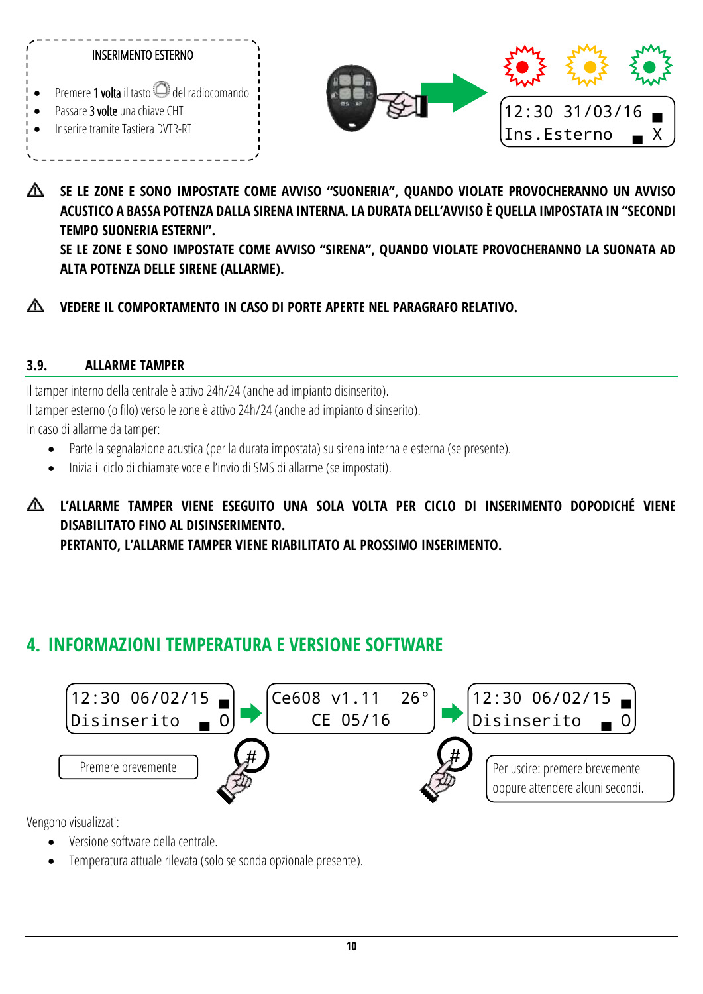

**SE LE ZONE E SONO IMPOSTATE COME AVVISO "SUONERIA", QUANDO VIOLATE PROVOCHERANNO UN AVVISO**  ∧ **ACUSTICO A BASSA POTENZA DALLA SIRENA INTERNA. LA DURATA DELL'AVVISO È QUELLA IMPOSTATA IN "SECONDI TEMPO SUONERIA ESTERNI". SE LE ZONE E SONO IMPOSTATE COME AVVISO "SIRENA", QUANDO VIOLATE PROVOCHERANNO LA SUONATA AD ALTA POTENZA DELLE SIRENE (ALLARME).**

#### ◭ **VEDERE IL COMPORTAMENTO IN CASO DI PORTE APERTE NEL PARAGRAFO RELATIVO.**

#### <span id="page-9-0"></span>**3.9. ALLARME TAMPER**

Il tamper interno della centrale è attivo 24h/24 (anche ad impianto disinserito). Il tamper esterno (o filo) verso le zone è attivo 24h/24 (anche ad impianto disinserito).

In caso di allarme da tamper:

- Parte la segnalazione acustica (per la durata impostata) su sirena interna e esterna (se presente).
- Inizia il ciclo di chiamate voce e l'invio di SMS di allarme (se impostati).

**L'ALLARME TAMPER VIENE ESEGUITO UNA SOLA VOLTA PER CICLO DI INSERIMENTO DOPODICHÉ VIENE DISABILITATO FINO AL DISINSERIMENTO. PERTANTO, L'ALLARME TAMPER VIENE RIABILITATO AL PROSSIMO INSERIMENTO.**

### <span id="page-9-1"></span>**4. INFORMAZIONI TEMPERATURA E VERSIONE SOFTWARE**



Vengono visualizzati:

- Versione software della centrale.
- Temperatura attuale rilevata (solo se sonda opzionale presente).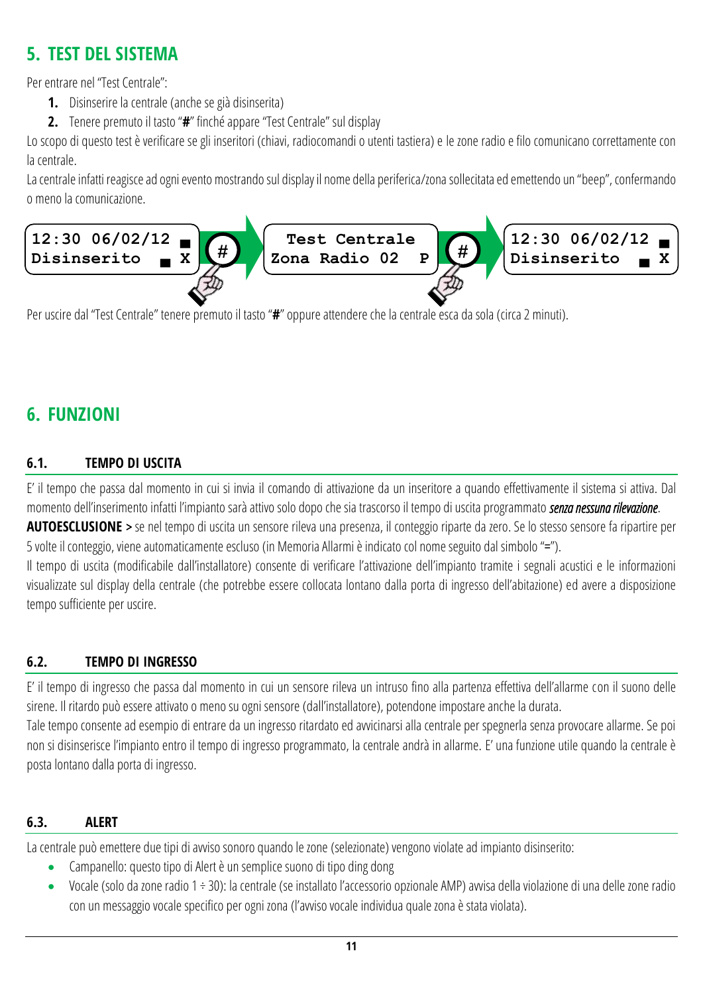## <span id="page-10-0"></span>**5. TEST DEL SISTEMA**

Per entrare nel "Test Centrale":

- **1.** Disinserire la centrale (anche se già disinserita)
- **2.** Tenere premuto il tasto "**#**" finché appare "Test Centrale" sul display

Lo scopo di questo test è verificare se gli inseritori (chiavi, radiocomandi o utenti tastiera) e le zone radio e filo comunicano correttamente con la centrale.

La centrale infatti reagisce ad ogni evento mostrando sul display il nome della periferica/zona sollecitata ed emettendo un "beep", confermando o meno la comunicazione.



Per uscire dal "Test Centrale" tenere premuto il tasto "**#**" oppure attendere che la centrale esca da sola (circa 2 minuti).

## <span id="page-10-1"></span>**6. FUNZIONI**

### <span id="page-10-2"></span>**6.1. TEMPO DI USCITA**

E' il tempo che passa dal momento in cui si invia il comando di attivazione da un inseritore a quando effettivamente il sistema si attiva. Dal momento dell'inserimento infatti l'impianto sarà attivo solo dopo che sia trascorso il tempo di uscita programmato *senza nessuna rilevazione*.

**AUTOESCLUSIONE** > se nel tempo di uscita un sensore rileva una presenza, il conteggio riparte da zero. Se lo stesso sensore fa ripartire per 5 volte il conteggio, viene automaticamente escluso (in Memoria Allarmi è indicato col nome seguito dal simbolo "=").

Il tempo di uscita (modificabile dall'installatore) consente di verificare l'attivazione dell'impianto tramite i segnali acustici e le informazioni visualizzate sul display della centrale (che potrebbe essere collocata lontano dalla porta di ingresso dell'abitazione) ed avere a disposizione tempo sufficiente per uscire.

#### <span id="page-10-3"></span>**6.2. TEMPO DI INGRESSO**

E' il tempo di ingresso che passa dal momento in cui un sensore rileva un intruso fino alla partenza effettiva dell'allarme con il suono delle sirene. Il ritardo può essere attivato o meno su ogni sensore (dall'installatore), potendone impostare anchela durata. Tale tempo consente ad esempio di entrare da un ingresso ritardato ed avvicinarsi alla centrale per spegnerla senza provocare allarme. Se poi non si disinserisce l'impianto entro il tempo di ingresso programmato, la centrale andrà in allarme. E' una funzione utile quando la centrale è posta lontano dalla porta di ingresso.

#### <span id="page-10-4"></span>**6.3. ALERT**

La centrale può emettere due tipi di avviso sonoro quando le zone (selezionate) vengono violate ad impianto disinserito:

- Campanello: questo tipo di Alert è un semplice suono di tipo ding dong
- Vocale (solo da zone radio 1 ÷ 30): la centrale (se installato l'accessorio opzionale AMP) avvisa della violazione di una delle zone radio con un messaggio vocale specifico per ogni zona (l'avviso vocale individua quale zonaè stata violata).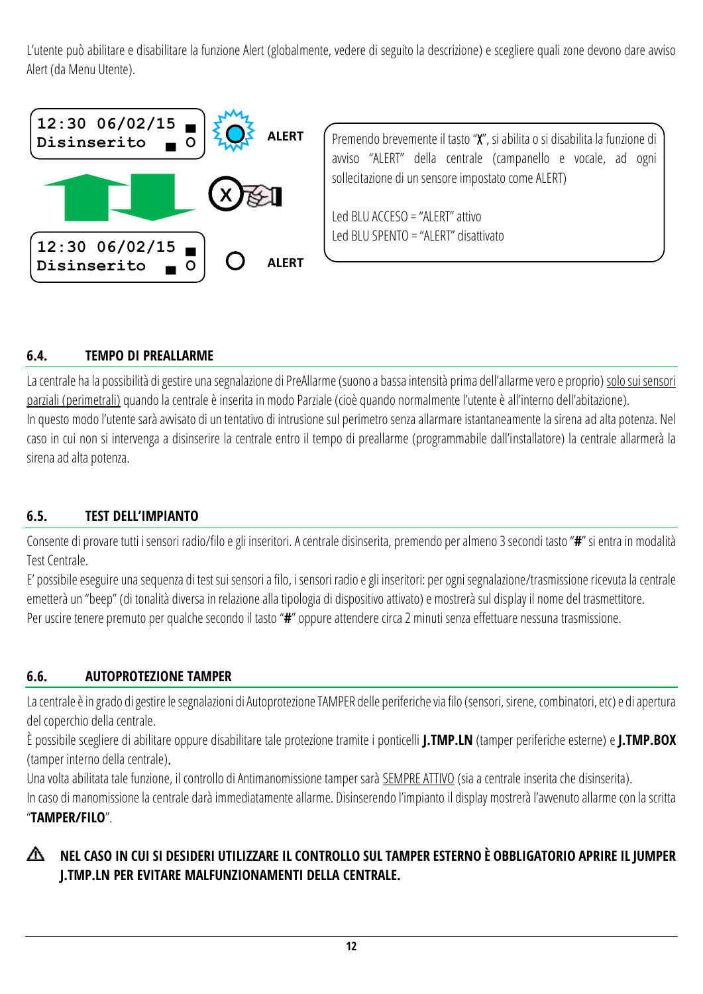L'utente può abilitare e disabilitare la funzione Alert (globalmente, vedere di seguito la descrizione) e scegliere quali zone devono dare avviso Alert (da Menu Utente).



Premendo brevemente il tasto "X", si abilita o si disabilita la funzione di avviso "ALERT" della centrale (campanello e vocale, ad ogni sollecitazione di un sensore impostato come ALERT)

Led BLU ACCESO = "ALERT" attivo Led BLU SPENTO = "ALERT" disattivato

### <span id="page-11-0"></span>**6.4. TEMPO DI PREALLARME**

La centrale ha la possibilità di gestire una segnalazione di PreAllarme (suono a bassa intensità prima dell'allarme vero e proprio) solo sui sensori parziali (perimetrali) quando la centrale è inserita in modo Parziale (cioè quando normalmente l'utente è all'interno dell'abitazione). In questo modo l'utente sarà avvisato di un tentativo di intrusione sul perimetro senza allarmare istantaneamente la sirena ad alta potenza. Nel caso in cui non si intervenga a disinserire la centrale entro il tempo di preallarme (programmabile dall'installatore) la centrale allarmerà la sirena ad alta potenza.

#### <span id="page-11-1"></span>**6.5. TEST DELL'IMPIANTO**

Consente di provare tutti i sensori radio/filo e gli inseritori. A centrale disinserita, premendo per almeno 3 secondi tasto "**#**" si entra in modalità Test Centrale.

E' possibile eseguire una sequenza di test sui sensori a filo, i sensori radio e gli inseritori: per ogni segnalazione/trasmissione ricevuta la centrale emetterà un "beep" (di tonalità diversa in relazione alla tipologia di dispositivo attivato) e mostrerà sul display il nome del trasmettitore. Per uscire tenere premuto per qualche secondo il tasto "**#**" oppure attendere circa 2 minuti senza effettuare nessuna trasmissione.

#### <span id="page-11-2"></span>**6.6. AUTOPROTEZIONE TAMPER**

La centrale è in grado di gestire le segnalazioni di Autoprotezione TAMPER delle periferiche via filo (sensori, sirene, combinatori, etc) e di apertura del coperchio della centrale.

È possibile scegliere di abilitare oppure disabilitare tale protezione tramite i ponticelli **J.TMP.LN** (tamper periferiche esterne) e **J.TMP.BOX** (tamper interno della centrale).

Una volta abilitata tale funzione, il controllo di Antimanomissione tamper sarà SEMPRE ATTIVO (sia a centrale inserita che disinserita).

In caso di manomissione la centrale darà immediatamente allarme. Disinserendo l'impianto il display mostrerà l'avvenuto allarme con la scritta "**TAMPER/FILO**".

#### **NEL CASO IN CUI SI DESIDERI UTILIZZARE IL CONTROLLO SUL TAMPER ESTERNO È OBBLIGATORIO APRIRE IL JUMPER**  ∧ **J.TMP.LN PER EVITARE MALFUNZIONAMENTI DELLA CENTRALE.**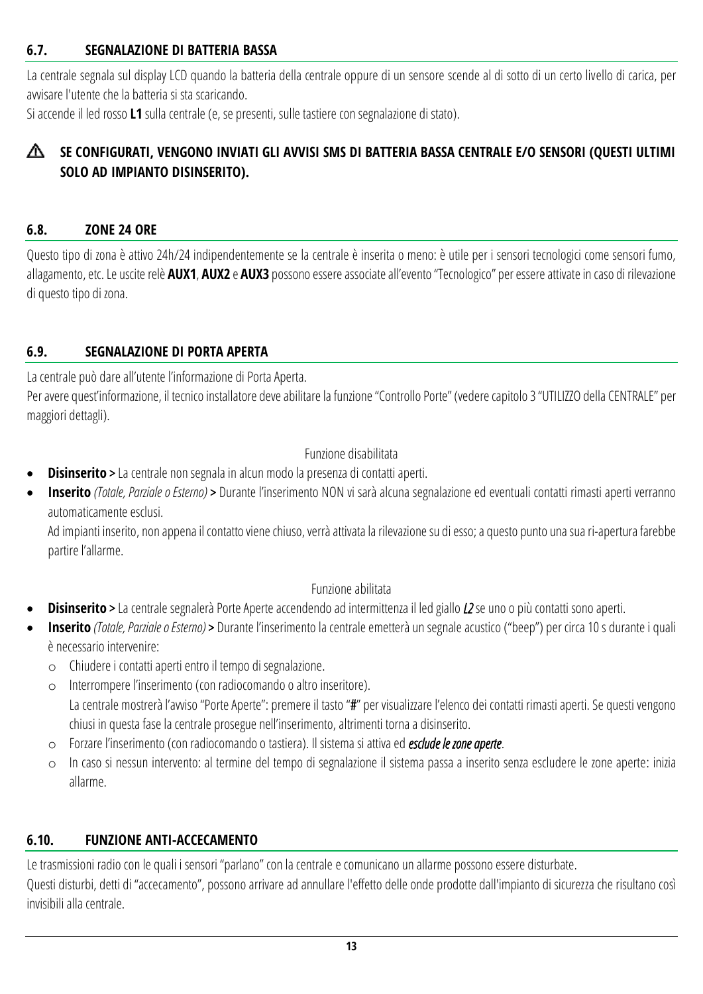#### <span id="page-12-0"></span>**6.7. SEGNALAZIONE DI BATTERIA BASSA**

La centrale segnala sul display LCD quando la batteria della centrale oppure di un sensore scende al di sotto di un certo livello di carica, per avvisare l'utente che la batteria si sta scaricando.

Si accende il led rosso **L1** sulla centrale (e, se presenti, sulle tastiere con segnalazione di stato).

#### **SE CONFIGURATI, VENGONO INVIATI GLI AVVISI SMS DI BATTERIA BASSA CENTRALE E/O SENSORI (QUESTI ULTIMI SOLO AD IMPIANTO DISINSERITO).**

#### <span id="page-12-1"></span>**6.8. ZONE 24 ORE**

Questo tipo di zona è attivo 24h/24 indipendentemente se la centrale è inserita o meno: è utile per i sensori tecnologici come sensori fumo, allagamento, etc. Le usciterelè **AUX1**, **AUX2** e **AUX3** possono essere associateall'evento "Tecnologico" per essere attivatein caso di rilevazione di questo tipo di zona.

#### <span id="page-12-2"></span>**6.9. SEGNALAZIONE DI PORTA APERTA**

La centrale può dare all'utente l'informazione di Porta Aperta.

Per avere quest'informazione, il tecnico installatore deve abilitare la funzione "Controllo Porte" (vedere capitolo 3 "UTILIZZO della CENTRALE" per maggiori dettagli).

#### Funzione disabilitata

- **Disinserito** > La centrale non segnala in alcun modo la presenza di contatti aperti.
- **Inserito** *(Totale, Parziale o Esterno)* > Durante l'inserimento NON vi sarà alcuna segnalazione ed eventuali contatti rimasti aperti verranno automaticamente esclusi.

Ad impianti inserito, non appena il contatto viene chiuso, verrà attivata la rilevazione su di esso; a questo punto una sua ri-apertura farebbe partire l'allarme.

#### Funzione abilitata

- **Disinserito** > La centrale segnalerà Porte Aperte accendendo ad intermittenza il led giallo *L2* se uno o più contatti sono aperti.
- **Inserito** *(Totale, Parziale o Esterno)* > Durante l'inserimento la centrale emetterà un segnale acustico ("beep") per circa 10 s durante i quali è necessario intervenire:
	- o Chiudere i contatti aperti entro il tempo di segnalazione.
	- o Interrompere l'inserimento (con radiocomando o altro inseritore). La centrale mostrerà l'avviso "Porte Aperte": premere il tasto "#" per visualizzare l'elenco dei contatti rimasti aperti. Se questi vengono chiusi in questa fase la centrale prosegue nell'inserimento, altrimenti torna a disinserito.
	- o Forzare l'inserimento (con radiocomando o tastiera). Il sistema si attivaed *esclude le zone aperte*.
	- o In caso si nessun intervento: al termine del tempo di segnalazione il sistema passa a inserito senza escludere le zone aperte: inizia allarme.

#### <span id="page-12-3"></span>**6.10. FUNZIONE ANTI-ACCECAMENTO**

Le trasmissioni radio con le quali i sensori "parlano" con la centrale e comunicano un allarme possono essere disturbate.

Questi disturbi, detti di "accecamento", possono arrivare ad annullare l'effetto delle onde prodotte dall'impianto di sicurezza che risultano così invisibili alla centrale.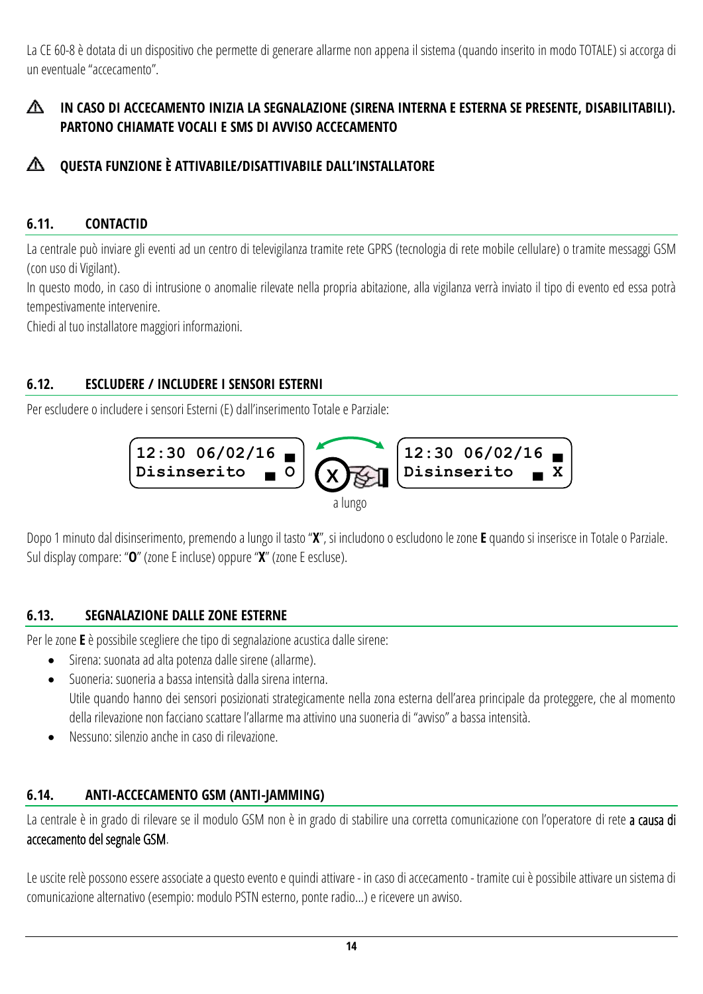La CE 60-8 è dotata di un dispositivo che permette di generare allarme non appena il sistema (quando inserito in modo TOTALE) si accorga di un eventuale "accecamento".

### **IN CASO DI ACCECAMENTO INIZIA LA SEGNALAZIONE (SIRENA INTERNA E ESTERNA SE PRESENTE, DISABILITABILI). PARTONO CHIAMATE VOCALI E SMS DI AVVISO ACCECAMENTO**

#### ∧ **QUESTA FUNZIONE È ATTIVABILE/DISATTIVABILE DALL'INSTALLATORE**

#### <span id="page-13-0"></span>**6.11. CONTACTID**

La centrale può inviare gli eventi ad un centro di televigilanza tramite rete GPRS (tecnologia di rete mobile cellulare) o tramite messaggi GSM (con uso di Vigilant).

In questo modo, in caso di intrusione o anomalie rilevate nella propria abitazione, alla vigilanza verrà inviato il tipo di evento ed essa potrà tempestivamente intervenire.

Chiedi al tuo installatore maggiori informazioni.

#### <span id="page-13-1"></span>**6.12. ESCLUDERE / INCLUDERE I SENSORI ESTERNI**

Per escludere o includere i sensori Esterni (E) dall'inserimento Totale e Parziale:



Dopo 1 minuto dal disinserimento, premendo a lungo il tasto "**X**", si includono o escludono le zone **E** quando si inserisce in Totale o Parziale. Sul display compare: "O" (zone E incluse) oppure "X" (zone E escluse).

#### <span id="page-13-2"></span>**6.13. SEGNALAZIONE DALLE ZONE ESTERNE**

Per le zone **E** è possibile scegliere che tipo di segnalazione acustica dalle sirene:

- Sirena: suonata ad alta potenza dalle sirene (allarme).
- Suoneria: suoneria a bassa intensità dalla sirena interna. Utile quando hanno dei sensori posizionati strategicamente nella zona esterna dell'area principale da proteggere, che al momento della rilevazione non facciano scattare l'allarme ma attivino una suoneria di "avviso" a bassa intensità.
- Nessuno: silenzio anche in caso di rilevazione.

#### <span id="page-13-3"></span>**6.14. ANTI-ACCECAMENTO GSM (ANTI-JAMMING)**

La centrale è in grado di rilevare se il modulo GSM non è in grado di stabilire una corretta comunicazione con l'operatore di rete a causa di accecamento del segnale GSM.

Le uscite relè possono essere associate a questo evento e quindi attivare - in caso di accecamento - tramitecui è possibile attivare un sistema di comunicazione alternativo (esempio: modulo PSTN esterno, ponte radio…) e ricevere un avviso.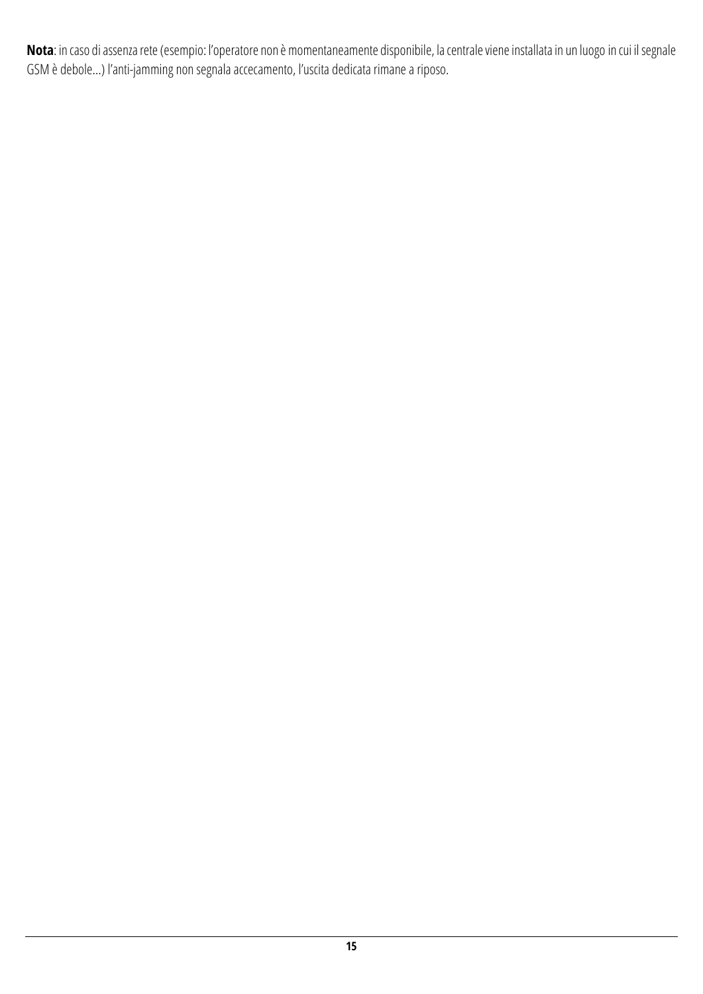**Nota**: in caso di assenza rete (esempio: l'operatore non è momentaneamente disponibile, la centrale viene installata in un luogo in cui il segnale GSM è debole…) l'anti-jamming non segnala accecamento, l'uscita dedicata rimane a riposo.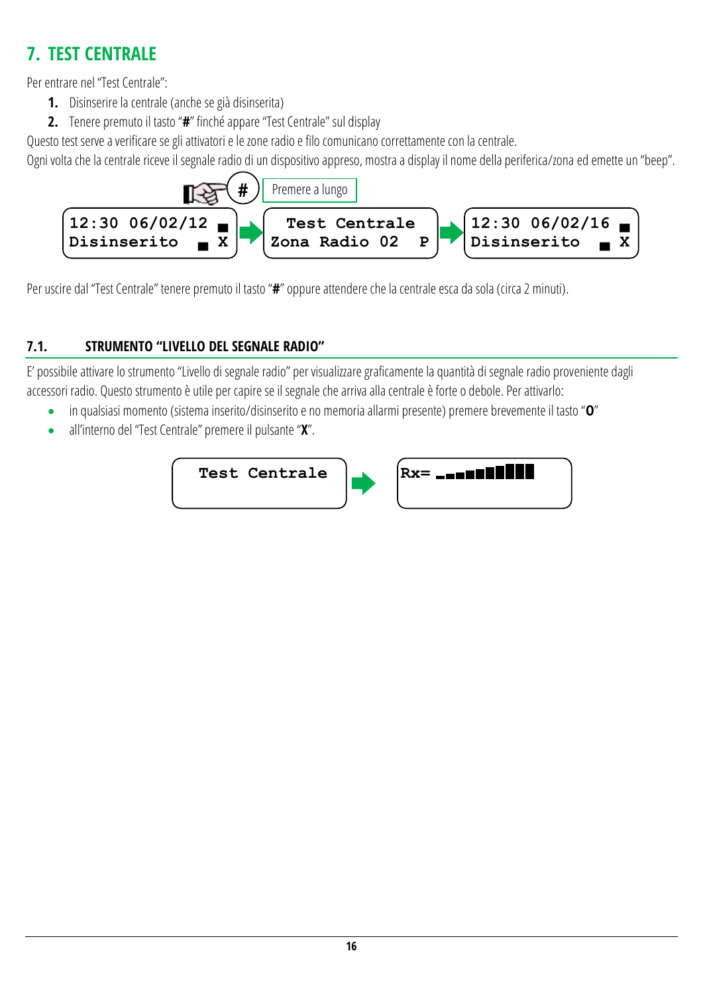## <span id="page-15-0"></span>**7. TEST CENTRALE**

Per entrare nel "Test Centrale":

- **1.** Disinserire la centrale (anche se già disinserita)
- **2.** Tenere premuto il tasto "**#**" finché appare "Test Centrale" sul display

Questo test serve a verificare se gli attivatori e le zone radio e filo comunicano correttamente con la centrale.

Ogni volta che la centrale riceve il segnale radio di un dispositivo appreso, mostra a display il nome della periferica/zona ed emette un "beep".



Per uscire dal "Test Centrale" tenere premuto il tasto "**#**" oppure attendere che la centrale esca da sola (circa 2 minuti).

### <span id="page-15-1"></span>**7.1. STRUMENTO "LIVELLO DEL SEGNALE RADIO"**

E' possibile attivare lo strumento "Livello di segnale radio" per visualizzare graficamente la quantità di segnale radio proveniente dagli accessori radio. Questo strumento è utile per capire se il segnale che arriva alla centrale è forte o debole. Per attivarlo:

- in qualsiasi momento (sistema inserito/disinserito e no memoria allarmi presente) premere brevemente il tasto "**O**"
- all'interno del "Test Centrale" premere il pulsante "**X**".



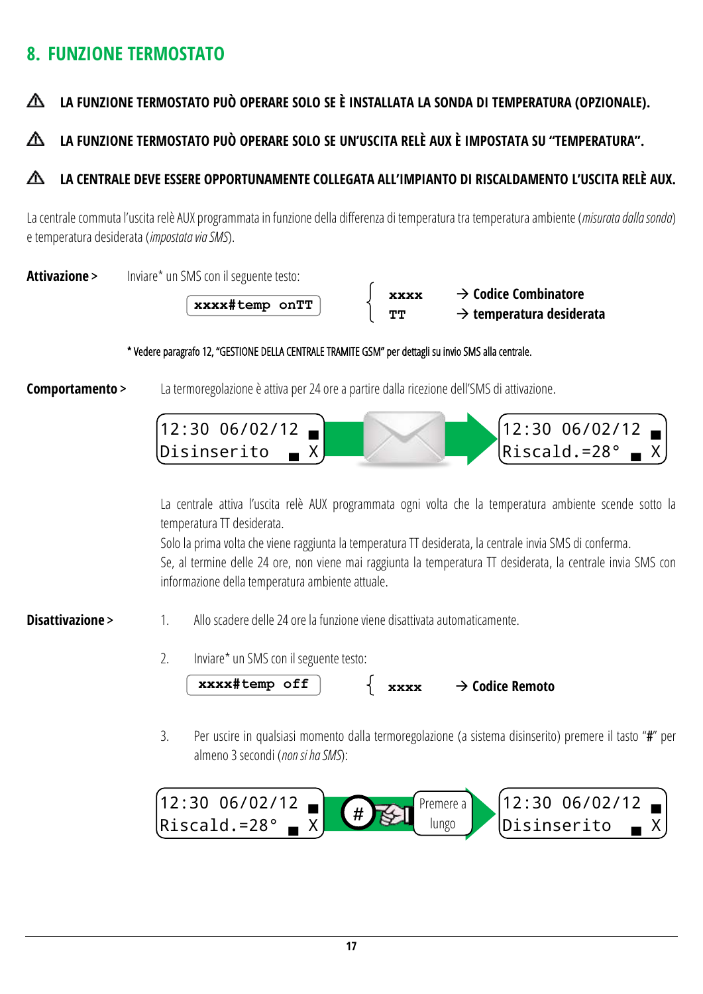## <span id="page-16-0"></span>**8. FUNZIONE TERMOSTATO**

#### Δ **LA FUNZIONE TERMOSTATO PUÒ OPERARE SOLO SE È INSTALLATA LA SONDA DI TEMPERATURA (OPZIONALE).**

#### **LA FUNZIONE TERMOSTATO PUÒ OPERARE SOLO SE UN'USCITA RELÈ AUX È IMPOSTATA SU "TEMPERATURA".** ∧

#### ∧ **LA CENTRALE DEVE ESSERE OPPORTUNAMENTE COLLEGATA ALL'IMPIANTO DI RISCALDAMENTO L'USCITA RELÈ AUX.**

La centrale commuta l'uscita relè AUX programmata in funzione della differenza di temperatura tra temperatura ambiente (*misurata dalla sonda*) e temperatura desiderata (*impostata via SMS*).

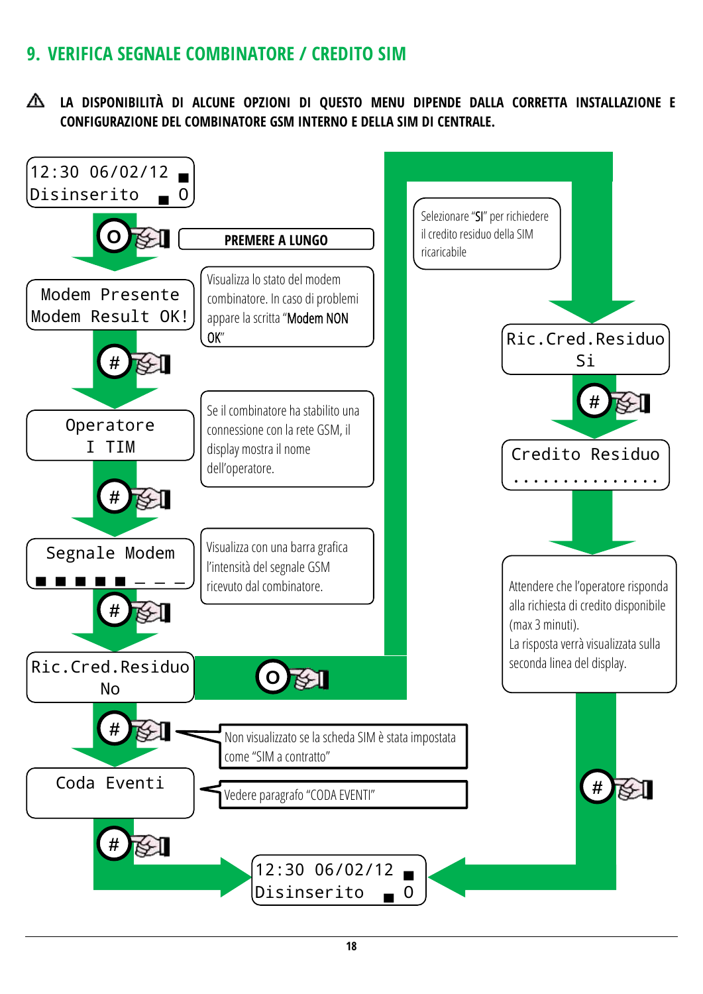## <span id="page-17-0"></span>**9. VERIFICA SEGNALE COMBINATORE / CREDITO SIM**

**LA DISPONIBILITÀ DI ALCUNE OPZIONI DI QUESTO MENU DIPENDE DALLA CORRETTA INSTALLAZIONE E CONFIGURAZIONE DEL COMBINATORE GSM INTERNO E DELLA SIM DI CENTRALE.**

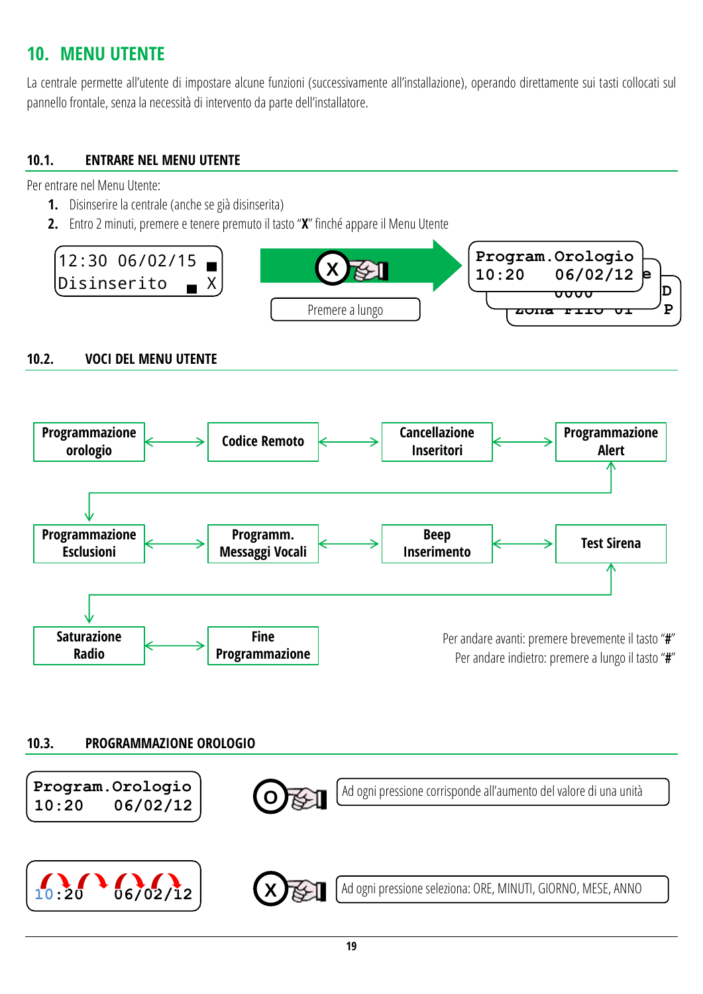## <span id="page-18-0"></span>**10. MENU UTENTE**

La centrale permette all'utente di impostare alcune funzioni (successivamente all'installazione), operando direttamente sui tasti collocati sul pannello frontale, senza la necessità di intervento da parte dell'installatore.

#### <span id="page-18-1"></span>**10.1. ENTRARE NEL MENU UTENTE**

Per entrare nel Menu Utente:

- **1.** Disinserire la centrale (anche se già disinserita)
- **2.** Entro 2 minuti, premere e tenere premuto il tasto "**X**" finché appare il Menu Utente



#### <span id="page-18-2"></span>**10.2. VOCI DEL MENU UTENTE**



#### <span id="page-18-3"></span>**10.3. PROGRAMMAZIONE OROLOGIO**

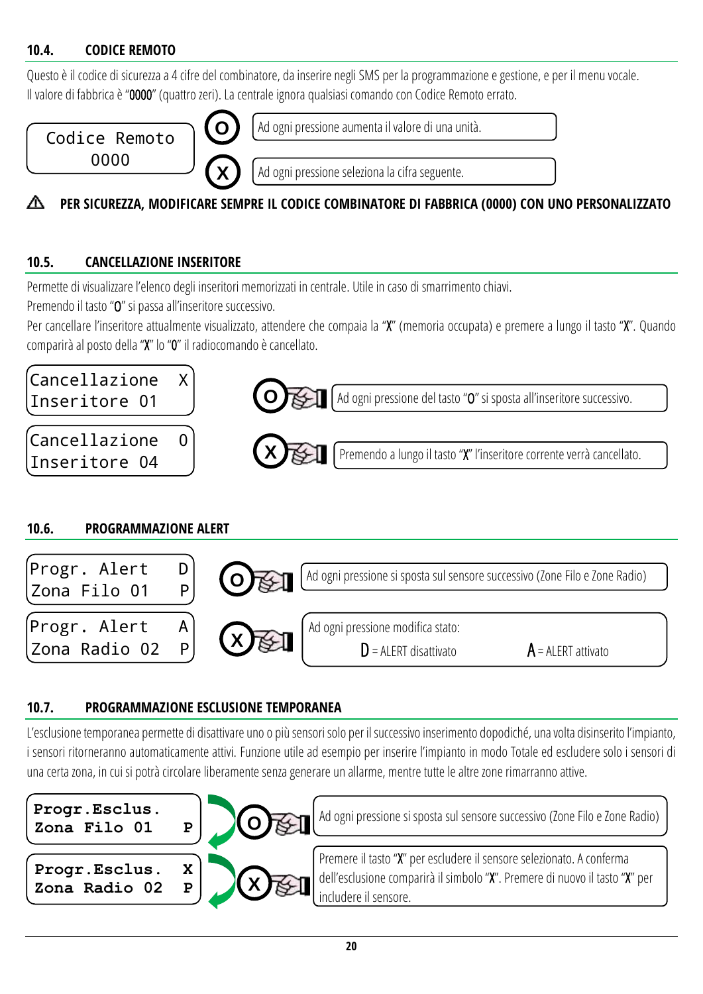#### <span id="page-19-0"></span>**10.4. CODICE REMOTO**

Questo è il codice di sicurezza a 4 cifre del combinatore, da inserire negli SMS per la programmazione e gestione, e per il menu vocale. Il valore di fabbrica è "0000" (quattro zeri). La centrale ignora qualsiasi comando con Codice Remoto errato.



#### **PER SICUREZZA, MODIFICARE SEMPRE IL CODICE COMBINATORE DI FABBRICA (0000) CON UNO PERSONALIZZATO** ⋀

#### <span id="page-19-1"></span>**10.5. CANCELLAZIONE INSERITORE**

Permette di visualizzare l'elenco degli inseritori memorizzati in centrale. Utile in caso di smarrimento chiavi.

Premendo il tasto "O" si passa all'inseritore successivo.

Per cancellare l'inseritore attualmente visualizzato, attendere che compaia la "X" (memoria occupata) e premere a lungo il tasto "X". Quando comparirà al posto della "X" lo "0" il radiocomando è cancellato.



#### <span id="page-19-2"></span>**10.6. PROGRAMMAZIONE ALERT**



#### <span id="page-19-3"></span>**10.7. PROGRAMMAZIONE ESCLUSIONE TEMPORANEA**

L'esclusione temporanea permette di disattivare uno o più sensori solo per il successivo inserimento dopodiché, una volta disinserito l'impianto, i sensori ritorneranno automaticamente attivi. Funzione utile ad esempio per inserire l'impianto in modo Totale ed escludere solo i sensori di una certa zona, in cui si potrà circolare liberamente senza generare un allarme, mentre tutte le altre zone rimarranno attive.

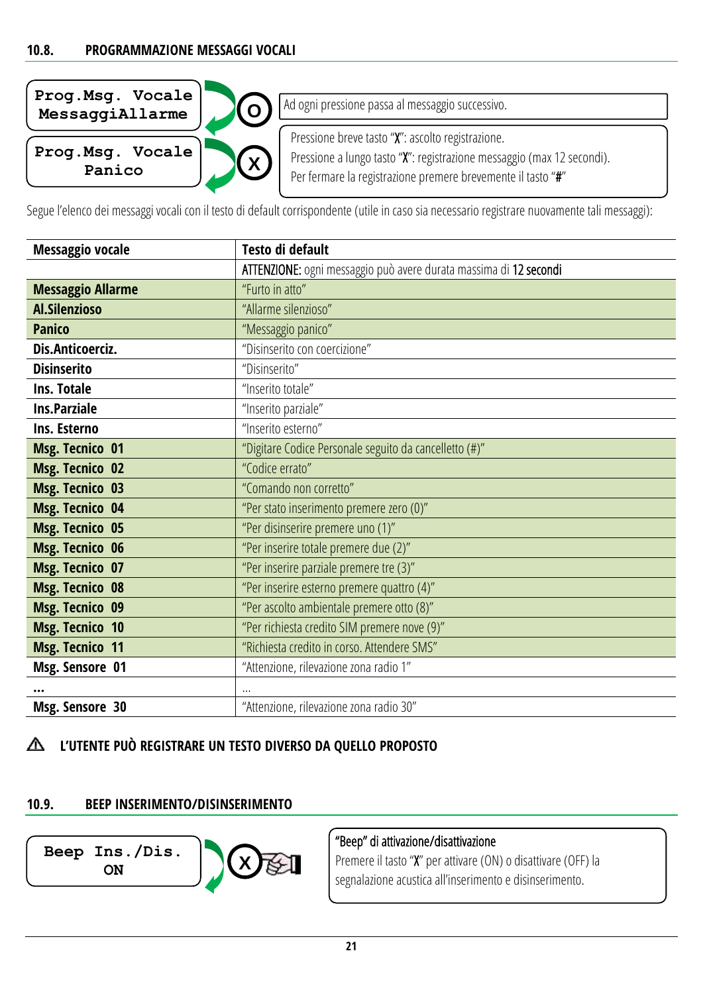<span id="page-20-0"></span>

| Prog.Msg. Vocale<br>MessaggiAllarme | Ad ogni pressione passa al messaggio successivo.                       |
|-------------------------------------|------------------------------------------------------------------------|
| Prog.Msg. Vocale                    | Pressione breve tasto "X": ascolto registrazione.                      |
| X                                   | Pressione a lungo tasto "X": registrazione messaggio (max 12 secondi). |
| Panico                              | Per fermare la registrazione premere brevemente il tasto "#"           |

Segue l'elenco dei messaggi vocali con il testo di default corrispondente (utile in caso sia necessario registrare nuovamente tali messaggi):

| <b>Messaggio vocale</b>  | Testo di default                                                  |
|--------------------------|-------------------------------------------------------------------|
|                          | ATTENZIONE: ogni messaggio può avere durata massima di 12 secondi |
| <b>Messaggio Allarme</b> | "Furto in atto"                                                   |
| <b>Al.Silenzioso</b>     | "Allarme silenzioso"                                              |
| <b>Panico</b>            | "Messaggio panico"                                                |
| Dis.Anticoerciz.         | "Disinserito con coercizione"                                     |
| <b>Disinserito</b>       | "Disinserito"                                                     |
| Ins. Totale              | "Inserito totale"                                                 |
| <b>Ins.Parziale</b>      | "Inserito parziale"                                               |
| Ins. Esterno             | "Inserito esterno"                                                |
| <b>Msg. Tecnico 01</b>   | "Digitare Codice Personale seguito da cancelletto (#)"            |
| <b>Msg. Tecnico 02</b>   | "Codice errato"                                                   |
| <b>Msg. Tecnico 03</b>   | "Comando non corretto"                                            |
| <b>Msg. Tecnico 04</b>   | "Per stato inserimento premere zero (0)"                          |
| <b>Msg. Tecnico 05</b>   | "Per disinserire premere uno (1)"                                 |
| <b>Msg. Tecnico 06</b>   | "Per inserire totale premere due (2)"                             |
| <b>Msg. Tecnico 07</b>   | "Per inserire parziale premere tre (3)"                           |
| <b>Msg. Tecnico 08</b>   | "Per inserire esterno premere quattro (4)"                        |
| <b>Msg. Tecnico 09</b>   | "Per ascolto ambientale premere otto (8)"                         |
| <b>Msg. Tecnico 10</b>   | "Per richiesta credito SIM premere nove (9)"                      |
| <b>Msg. Tecnico 11</b>   | "Richiesta credito in corso. Attendere SMS"                       |
| Msg. Sensore 01          | "Attenzione, rilevazione zona radio 1"                            |
|                          |                                                                   |
| Msg. Sensore 30          | "Attenzione, rilevazione zona radio 30"                           |

### **L'UTENTE PUÒ REGISTRARE UN TESTO DIVERSO DA QUELLO PROPOSTO**

#### <span id="page-20-1"></span>**10.9. BEEP INSERIMENTO/DISINSERIMENTO**



"Beep" di attivazione/disattivazione

Premere il tasto "X" per attivare (ON) o disattivare (OFF) la segnalazione acustica all'inserimento e disinserimento.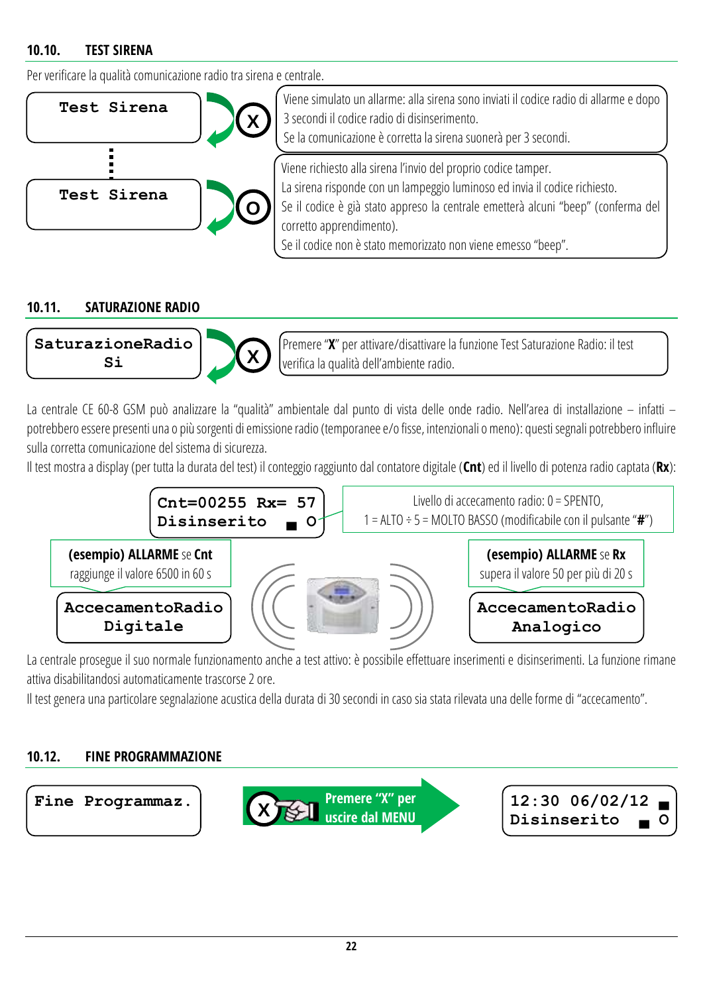#### <span id="page-21-0"></span>**10.10. TEST SIRENA**

Per verificare la qualità comunicazione radio tra sirena e centrale.



#### <span id="page-21-1"></span>**10.11. SATURAZIONE RADIO**



La centrale CE 60-8 GSM può analizzare la "qualità" ambientale dal punto di vista delle onde radio. Nell'area di installazione – infatti – potrebbero essere presenti una o più sorgenti di emissione radio (temporanee e/o fisse, intenzionali o meno): questisegnali potrebbero influire sulla corretta comunicazione del sistema di sicurezza.

Il test mostra a display (per tutta la durata del test) il conteggio raggiunto dal contatore digitale (**Cnt**) ed il livello di potenza radio captata(**Rx**):



La centrale prosegue il suo normale funzionamento anche a test attivo: è possibile effettuare inserimenti e disinserimenti. La funzione rimane attiva disabilitandosi automaticamente trascorse 2 ore.

Il test genera una particolare segnalazione acustica della durata di 30 secondi in caso sia stata rilevata una delle forme di "accecamento".

#### <span id="page-21-2"></span>**10.12. FINE PROGRAMMAZIONE**

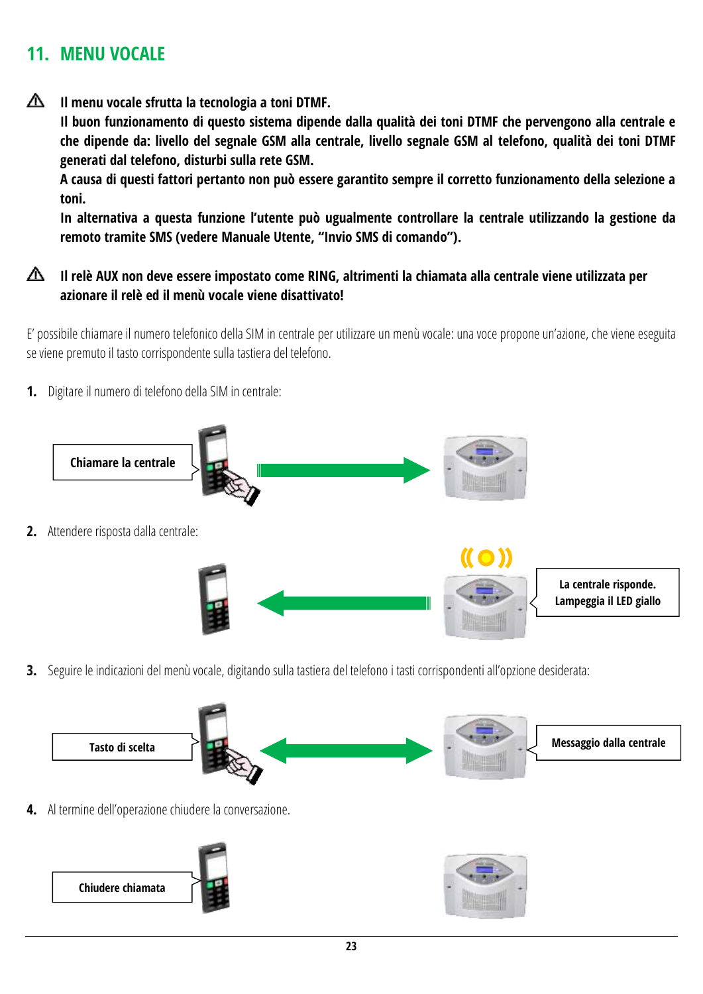### <span id="page-22-0"></span>**11. MENU VOCALE**

∧ **Il menu vocale sfrutta la tecnologia a toni DTMF.**

> **Il buon funzionamento di questo sistema dipende dalla qualità dei toni DTMF che pervengono alla centrale e che dipende da: livello del segnale GSM alla centrale, livello segnale GSM al telefono, qualità dei toni DTMF generati dal telefono, disturbi sulla rete GSM.**

> **A causa di questi fattori pertanto non può essere garantito sempre il corretto funzionamento della selezione a toni.**

> **In alternativa a questa funzione l'utente può ugualmente controllare la centrale utilizzando la gestione da remoto tramite SMS (vedere Manuale Utente, "Invio SMS di comando").**

⚠ **Il relè AUX non deve essere impostato come RING, altrimenti la chiamata alla centrale viene utilizzata per azionare il relè ed il menù vocale viene disattivato!**

E' possibile chiamare il numero telefonico della SIM in centrale per utilizzare un menù vocale: una voce propone un'azione, che viene eseguita se viene premuto il tasto corrispondente sulla tastiera del telefono.

**1.** Digitare il numero di telefono della SIM in centrale:



**3.** Seguire le indicazioni del menù vocale, digitando sulla tastiera del telefono i tasti corrispondenti all'opzione desiderata:



**4.** Al termine dell'operazione chiudere la conversazione.



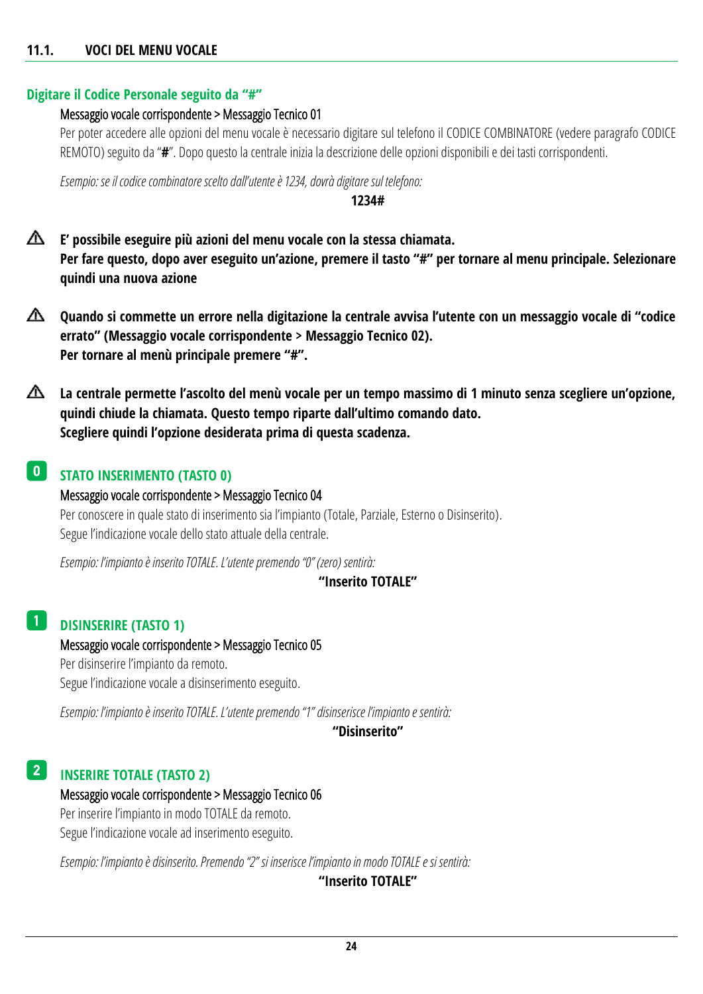#### <span id="page-23-0"></span>**11.1. VOCI DEL MENU VOCALE**

#### **Digitare il Codice Personale seguito da "#"**

#### Messaggio vocale corrispondente > Messaggio Tecnico 01

Per poter accedere alle opzioni del menu vocale è necessario digitare sul telefono il CODICE COMBINATORE (vedere paragrafo [CODICE](#page-19-0)  [REMOTO](#page-19-0)) seguito da "**#**". Dopo questo la centrale inizia la descrizione delle opzioni disponibili e dei tasti corrispondenti.

*Esempio: se il codice combinatore sceltodall'utente è 1234, dovrà digitare sul telefono:*

#### **1234#**

- ⚠ **E' possibile eseguire più azioni del menu vocale con la stessa chiamata. Per fare questo, dopo aver eseguito un'azione, premere il tasto "#" per tornare al menu principale. Selezionare quindi una nuova azione**
- △ **Quando si commette un errore nella digitazione la centrale avvisa l'utente con un messaggio vocale di "codice errato" (Messaggio vocale corrispondente > Messaggio Tecnico 02). Per tornare al menù principale premere "#".**
- ⚠ **La centrale permette l'ascolto del menù vocale per un tempo massimo di 1 minuto senza scegliere un'opzione, quindi chiude la chiamata. Questo tempo riparte dall'ultimo comando dato. Scegliere quindi l'opzione desiderata prima di questa scadenza.**

#### **STATO INSERIMENTO (TASTO 0)**  $\vert 0 \vert$

Messaggio vocale corrispondente > Messaggio Tecnico 04 Per conoscere in quale stato di inserimento sia l'impianto (Totale, Parziale, Esterno o Disinserito). Segue l'indicazione vocale dello stato attuale della centrale.

*Esempio: l'impianto è inserito TOTALE. L'utente premendo "0" (zero) sentirà:*

#### **"Inserito TOTALE"**

#### **DISINSERIRE (TASTO 1)** 1

Messaggio vocale corrispondente > Messaggio Tecnico 05 Per disinserire l'impianto da remoto. Segue l'indicazione vocale a disinserimento eseguito.

*Esempio: l'impianto è inserito TOTALE. L'utente premendo "1" disinserisce l'impianto e sentirà:*

**"Disinserito"**

#### **INSERIRE TOTALE (TASTO 2)** 2

#### Messaggio vocale corrispondente > Messaggio Tecnico 06

Per inserire l'impianto in modo TOTALE da remoto. Segue l'indicazione vocale ad inserimento eseguito.

*Esempio: l'impianto è disinserito. Premendo "2" si inserisce l'impianto in modo TOTALE e si sentirà:*

**"Inserito TOTALE"**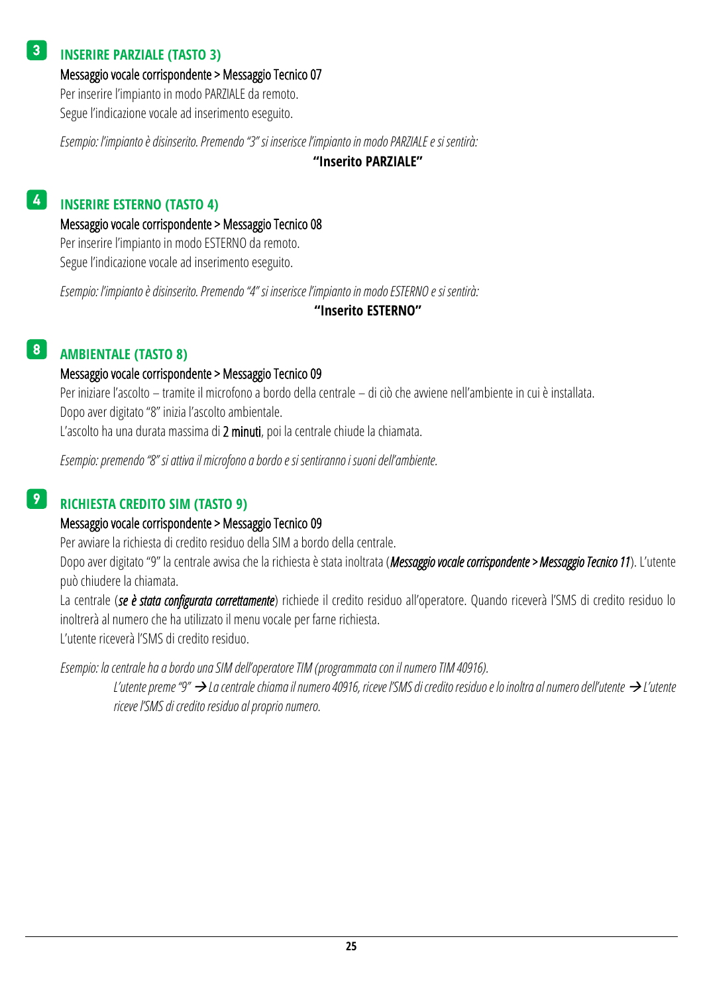#### **INSERIRE PARZIALE (TASTO 3)** 3

Messaggio vocale corrispondente > Messaggio Tecnico 07

Per inserire l'impianto in modo PARZIALE da remoto. Segue l'indicazione vocale ad inserimento eseguito.

*Esempio: l'impianto è disinserito. Premendo "3" si inserisce l'impianto in modo PARZIALE e si sentirà:*

**"Inserito PARZIALE"**

#### **INSERIRE ESTERNO (TASTO 4)** 4

Messaggio vocale corrispondente > Messaggio Tecnico 08

Per inserire l'impianto in modo ESTERNO da remoto. Segue l'indicazione vocale ad inserimento eseguito.

*Esempio: l'impianto è disinserito. Premendo "4" si inserisce l'impianto in modo ESTERNO e si sentirà:*

#### **"Inserito ESTERNO"**

#### **AMBIENTALE (TASTO 8)** 8

#### Messaggio vocale corrispondente > Messaggio Tecnico 09

Per iniziare l'ascolto – tramite il microfono a bordo della centrale – di ciò che avviene nell'ambiente in cui è installata. Dopo aver digitato "8" inizia l'ascolto ambientale.

L'ascolto ha una durata massima di 2 minuti, poi la centrale chiude la chiamata.

*Esempio: premendo "8" si attiva il microfono a bordo e si sentiranno i suoni dell'ambiente.*

#### **RICHIESTA CREDITO SIM (TASTO 9)** 9

#### Messaggio vocale corrispondente > Messaggio Tecnico 09

Per avviare la richiesta di credito residuo della SIM a bordo della centrale.

Dopo aver digitato "9" la centrale avvisa che la richiesta è stata inoltrata (*Messaggio vocale corrispondente > Messaggio Tecnico 11*). L'utente può chiudere la chiamata.

La centrale (*se è stata configurata correttamente*) richiede il credito residuo all'operatore. Quando riceverà l'SMS di credito residuo lo inoltrerà al numero che ha utilizzato il menu vocale per farne richiesta.

L'utente riceverà l'SMS di credito residuo.

*Esempio: la centrale ha a bordo una SIM dell'operatore TIM (programmata con il numero TIM 40916).*

*L'utente preme "9" La centrale chiama il numero 40916, riceve l'SMS di credito residuo e lo inoltra al numero dell'utente L'utente riceve l'SMS di credito residuo al proprio numero.*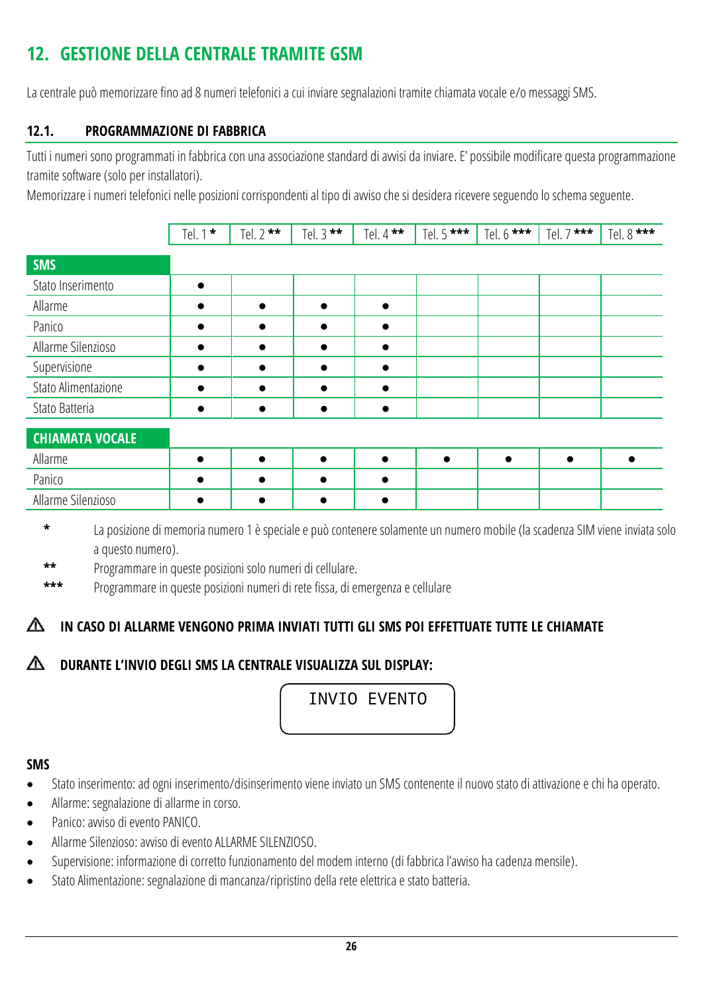## <span id="page-25-0"></span>**12. GESTIONE DELLA CENTRALE TRAMITE GSM**

La centrale può memorizzare fino ad 8 numeri telefonici a cui inviare segnalazioni tramite chiamata vocale e/o messaggi SMS.

#### <span id="page-25-1"></span>**12.1. PROGRAMMAZIONE DI FABBRICA**

Tutti i numeri sono programmati in fabbrica con una associazione standard di avvisi da inviare. E' possibile modificare questa programmazione tramite software (solo per installatori).

Memorizzare i numeri telefonici nelle posizioni corrispondenti al tipo di avviso che si desidera ricevere seguendo lo schema seguente.

|                        | Tel. 1 $*$ | Tel. $2$ ** | Tel. $3$ ** | Tel. 4 $**$ | Tel. 5 *** | Tel. $6***$ | Tel. 7 *** | Tel. 8 *** |
|------------------------|------------|-------------|-------------|-------------|------------|-------------|------------|------------|
| <b>SMS</b>             |            |             |             |             |            |             |            |            |
| Stato Inserimento      | ●          |             |             |             |            |             |            |            |
| Allarme                | $\bullet$  | $\bullet$   | $\bullet$   | $\bullet$   |            |             |            |            |
| Panico                 | $\bullet$  |             |             |             |            |             |            |            |
| Allarme Silenzioso     |            | $\bullet$   | $\bullet$   |             |            |             |            |            |
| Supervisione           | ●          | $\bullet$   |             |             |            |             |            |            |
| Stato Alimentazione    | $\bullet$  | $\bullet$   | $\bullet$   |             |            |             |            |            |
| Stato Batteria         | $\bullet$  | $\bullet$   | $\bullet$   |             |            |             |            |            |
| <b>CHIAMATA VOCALE</b> |            |             |             |             |            |             |            |            |
| Allarme                | ●          |             |             |             |            | $\bullet$   | $\bullet$  |            |
| Panico                 | $\bullet$  | $\bullet$   | $\bullet$   |             |            |             |            |            |
| Allarme Silenzioso     |            | ●           |             |             |            |             |            |            |

**\*** La posizione di memoria numero 1 è speciale e può contenere solamente un numero mobile(la scadenza SIM viene inviata solo a questo numero).

**\*\*** Programmare in queste posizioni solo numeri di cellulare.

**\*\*\*** Programmare in queste posizioni numeri di rete fissa, di emergenza e cellulare

#### **IN CASO DI ALLARME VENGONO PRIMA INVIATI TUTTI GLI SMS POI EFFETTUATE TUTTE LE CHIAMATE** ѧ

#### **DURANTE L'INVIO DEGLI SMS LA CENTRALE VISUALIZZA SUL DISPLAY:**

INVIO EVENTO

#### **SMS**

- Stato inserimento: ad ogni inserimento/disinserimento viene inviato un SMS contenente il nuovo stato di attivazione e chi ha operato.
- Allarme: segnalazione di allarme in corso.
- Panico: avviso di evento PANICO.
- Allarme Silenzioso: avviso di evento ALLARME SILENZIOSO.
- Supervisione: informazione di corretto funzionamento del modem interno (di fabbrica l'avviso ha cadenza mensile).
- Stato Alimentazione: segnalazione di mancanza/ripristino della rete elettrica e stato batteria.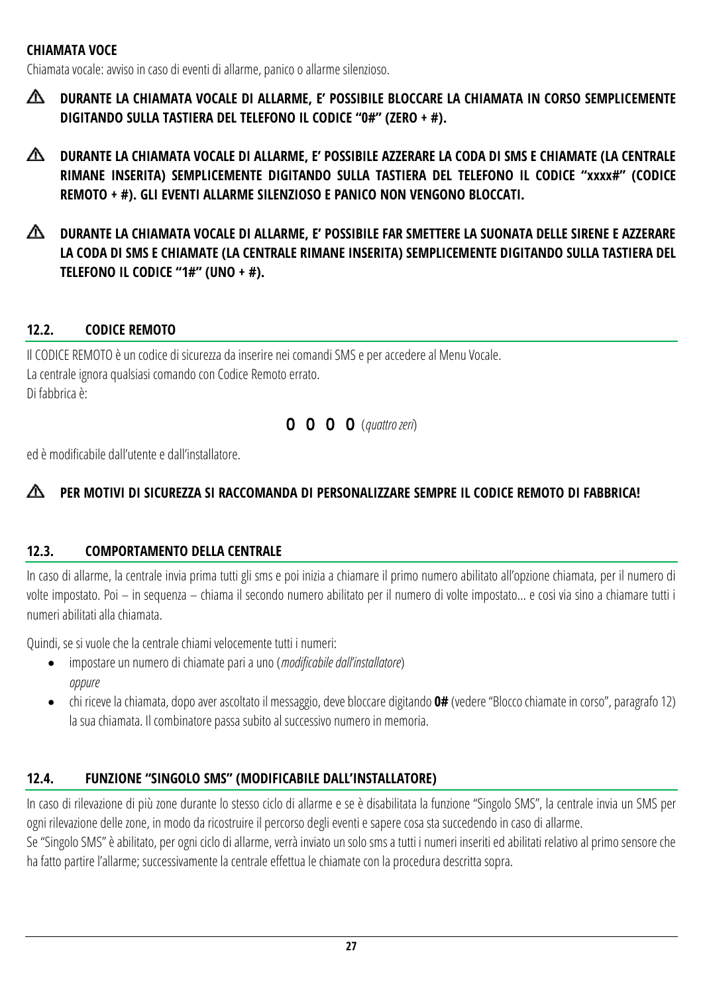#### **CHIAMATA VOCE**

Chiamata vocale: avviso in caso di eventi di allarme, panico o allarme silenzioso.

- ◭ **DURANTE LA CHIAMATA VOCALE DI ALLARME, E' POSSIBILE BLOCCARE LA CHIAMATA IN CORSO SEMPLICEMENTE DIGITANDO SULLA TASTIERA DEL TELEFONO IL CODICE "0#" (ZERO + #).**
- ⚠ **DURANTE LA CHIAMATA VOCALE DI ALLARME, E' POSSIBILE AZZERARE LA CODA DI SMS E CHIAMATE (LA CENTRALE RIMANE INSERITA) SEMPLICEMENTE DIGITANDO SULLA TASTIERA DEL TELEFONO IL CODICE "xxxx#" (CODICE REMOTO + #). GLI EVENTI ALLARME SILENZIOSO E PANICO NON VENGONO BLOCCATI.**
- ◭ **DURANTE LA CHIAMATA VOCALE DI ALLARME, E' POSSIBILE FAR SMETTERE LA SUONATA DELLE SIRENE E AZZERARE LA CODA DI SMS E CHIAMATE (LA CENTRALE RIMANE INSERITA) SEMPLICEMENTE DIGITANDO SULLA TASTIERA DEL TELEFONO IL CODICE "1#" (UNO + #).**

#### <span id="page-26-0"></span>**12.2. CODICE REMOTO**

Il CODICE REMOTO è un codice di sicurezza da inserire nei comandi SMS e per accedere al Menu Vocale. La centrale ignora qualsiasi comando con Codice Remoto errato. Di fabbrica è:

#### 0 0 0 0 (*quattro zeri*)

ed è modificabile dall'utente e dall'installatore.

#### ∧ **PER MOTIVI DI SICUREZZA SI RACCOMANDA DI PERSONALIZZARE SEMPRE IL CODICE REMOTO DI FABBRICA!**

#### <span id="page-26-1"></span>**12.3. COMPORTAMENTO DELLA CENTRALE**

In caso di allarme, la centrale invia prima tutti gli sms e poi inizia a chiamare il primo numero abilitato all'opzione chiamata, per il numero di volte impostato. Poi – in sequenza – chiama il secondo numero abilitato per il numero di volte impostato… e cosi via sino a chiamare tutti i numeri abilitati alla chiamata.

Quindi, se si vuole che la centrale chiami velocemente tutti i numeri:

- impostare un numero di chiamate pari a uno (*modificabile dall'installatore*) *oppure*
- chi riceve la chiamata, dopo aver ascoltato il messaggio, deve bloccare digitando **0#** (vedere "Blocco chiamate in corso", paragrafo 12) la sua chiamata. Il combinatore passa subito al successivo numero in memoria.

#### <span id="page-26-2"></span>**12.4. FUNZIONE "SINGOLO SMS" (MODIFICABILE DALL'INSTALLATORE)**

In caso di rilevazione di più zone durante lo stesso ciclo di allarme e se è disabilitata la funzione "Singolo SMS", la centrale invia un SMS per ogni rilevazione delle zone, in modo da ricostruire il percorso degli eventi e sapere cosa sta succedendo in caso di allarme.

Se "Singolo SMS" è abilitato, per ogni ciclo di allarme, verrà inviato un solo sms a tutti i numeri inseriti ed abilitati relativo al primo sensore che ha fatto partire l'allarme; successivamente la centrale effettua le chiamate con la procedura descritta sopra.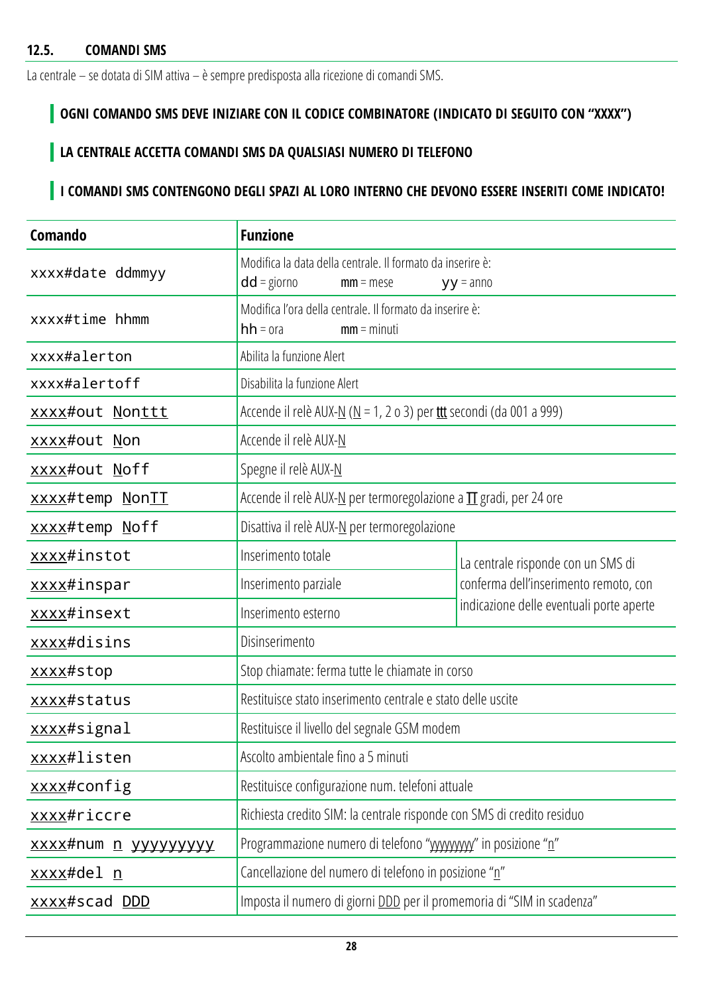<span id="page-27-0"></span>La centrale – se dotata di SIM attiva – è sempre predisposta alla ricezione di comandi SMS.

## **OGNI COMANDO SMS DEVE INIZIARE CON IL CODICE COMBINATORE (INDICATO DI SEGUITO CON "XXXX")**

### **LA CENTRALE ACCETTA COMANDI SMS DA QUALSIASI NUMERO DI TELEFONO**

## **I COMANDI SMS CONTENGONO DEGLI SPAZI AL LORO INTERNO CHE DEVONO ESSERE INSERITI COME INDICATO!**

| Comando                     | <b>Funzione</b>                                                                            |                                          |  |
|-----------------------------|--------------------------------------------------------------------------------------------|------------------------------------------|--|
| xxxx#date ddmmyy            | Modifica la data della centrale. Il formato da inserire è:<br>$dd =$ giorno<br>$mm = mese$ | $yy = anno$                              |  |
| xxxx#time hhmm              | Modifica l'ora della centrale. Il formato da inserire è:<br>$hh = ora$<br>$mm = minuti$    |                                          |  |
| xxxx#alerton                | Abilita la funzione Alert                                                                  |                                          |  |
| xxxx#alertoff               | Disabilita la funzione Alert                                                               |                                          |  |
| xxxx#out Nonttt             | Accende il relè AUX- $N(N = 1, 2 \text{ o } 3)$ per the secondi (da 001 a 999)             |                                          |  |
| xxxx#out Non                | Accende il relè AUX-N                                                                      |                                          |  |
| xxxx#out Noff               | Spegne il relè AUX-N                                                                       |                                          |  |
| xxxx#temp NonII             | Accende il relè AUX-N per termoregolazione a $\Pi$ gradi, per 24 ore                       |                                          |  |
| xxxx#temp Noff              | Disattiva il relè AUX-N per termoregolazione                                               |                                          |  |
| xxxx#instot                 | Inserimento totale                                                                         | La centrale risponde con un SMS di       |  |
| xxxx#inspar                 | Inserimento parziale                                                                       | conferma dell'inserimento remoto, con    |  |
| xxxx#insext                 | Inserimento esterno                                                                        | indicazione delle eventuali porte aperte |  |
| xxxx#disins                 | Disinserimento                                                                             |                                          |  |
| xxxx#stop                   | Stop chiamate: ferma tutte le chiamate in corso                                            |                                          |  |
| xxxx#status                 | Restituisce stato inserimento centrale e stato delle uscite                                |                                          |  |
| xxxx#signal                 | Restituisce il livello del segnale GSM modem                                               |                                          |  |
| xxxx#listen                 | Ascolto ambientale fino a 5 minuti                                                         |                                          |  |
| xxxx#config                 | Restituisce configurazione num. telefoni attuale                                           |                                          |  |
| xxxx#riccre                 | Richiesta credito SIM: la centrale risponde con SMS di credito residuo                     |                                          |  |
| xxxx#num <u>n</u> yyyyyyyyy | Programmazione numero di telefono "wwwww" in posizione "n"                                 |                                          |  |
| <u>xxxx</u> #del <u>n</u>   | Cancellazione del numero di telefono in posizione "n"                                      |                                          |  |
| xxxx#scad DDD               | Imposta il numero di giorni DDD per il promemoria di "SIM in scadenza"                     |                                          |  |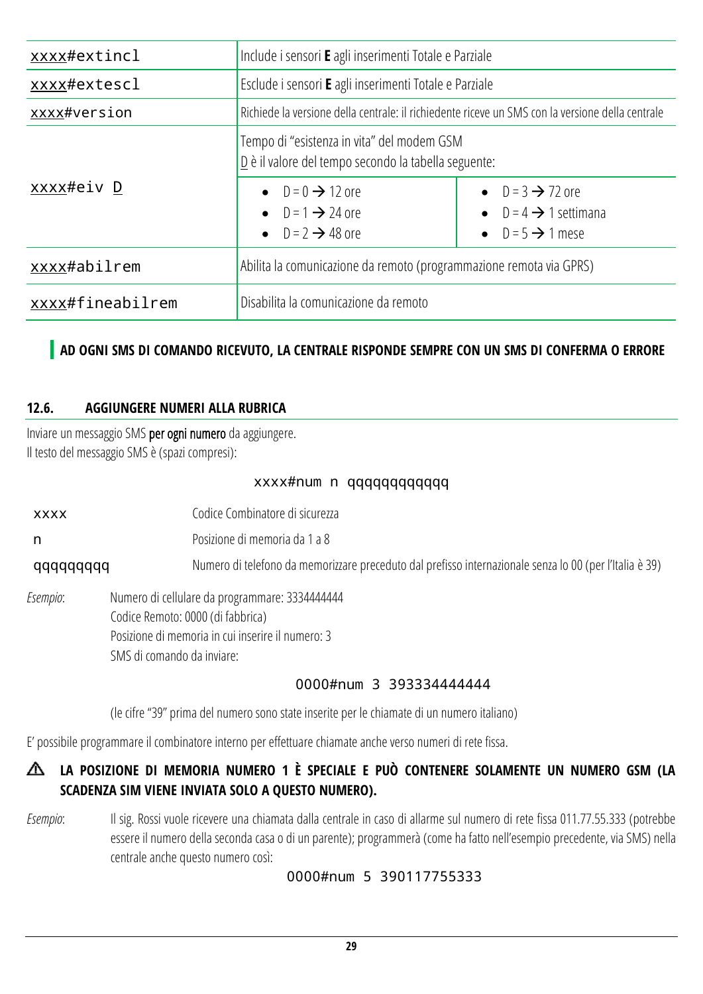| xxxx#extincl     | Include i sensori E agli inserimenti Totale e Parziale                                                           |                                                                                                 |  |  |
|------------------|------------------------------------------------------------------------------------------------------------------|-------------------------------------------------------------------------------------------------|--|--|
| xxxx#extescl     | Esclude i sensori E agli inserimenti Totale e Parziale                                                           |                                                                                                 |  |  |
| xxxx#version     | Richiede la versione della centrale: il richiedente riceve un SMS con la versione della centrale                 |                                                                                                 |  |  |
|                  | Tempo di "esistenza in vita" del modem GSM<br>$\underline{D}$ è il valore del tempo secondo la tabella seguente: |                                                                                                 |  |  |
| xxxx#eiv D       | • $D = 0 \rightarrow 12$ ore<br>• $D = 1 \rightarrow 24$ ore<br>• $D = 2 \rightarrow 48$ ore                     | • $D = 3 \rightarrow 72$ ore<br>$D = 4 \rightarrow 1$ settimana<br>• $D = 5 \rightarrow 1$ mese |  |  |
| xxxx#abilrem     | Abilita la comunicazione da remoto (programmazione remota via GPRS)                                              |                                                                                                 |  |  |
| xxxx#fineabilrem | Disabilita la comunicazione da remoto                                                                            |                                                                                                 |  |  |

### **AD OGNI SMS DI COMANDO RICEVUTO, LA CENTRALE RISPONDE SEMPRE CON UN SMS DI CONFERMA O ERRORE**

#### <span id="page-28-0"></span>**12.6. AGGIUNGERE NUMERI ALLA RUBRICA**

Inviare un messaggio SMS per ogni numero da aggiungere. Il testo del messaggio SMS è(spazi compresi):

#### xxxx#num n qqqqqqqqqqqq

xxxx Codice Combinatore di sicurezza

n Posizione di memoria da 1 a 8

qqqqqqqqq Numero di telefono da memorizzare preceduto dal prefisso internazionale senza lo 00 (per l'Italia è 39)

*Esempio*: Numero di cellulare da programmare: 3334444444 Codice Remoto: 0000 (di fabbrica) Posizione di memoria in cui inserire il numero: 3 SMS di comando da inviare:

#### 0000#num 3 393334444444

(le cifre "39" prima del numero sono state inserite per le chiamate di un numero italiano)

E' possibile programmare il combinatore interno per effettuare chiamate anche verso numeri di rete fissa.

### **LA POSIZIONE DI MEMORIA NUMERO 1 È SPECIALE E PUÒ CONTENERE SOLAMENTE UN NUMERO GSM (LA SCADENZA SIM VIENE INVIATA SOLO A QUESTO NUMERO).**

*Esempio*: Il sig. Rossi vuole ricevere una chiamata dalla centrale in caso di allarme sul numero di rete fissa 011.77.55.333 (potrebbe essere il numero della seconda casa o di un parente); programmerà (come ha fatto nell'esempio precedente, via SMS) nella centrale anche questo numero così:

0000#num 5 390117755333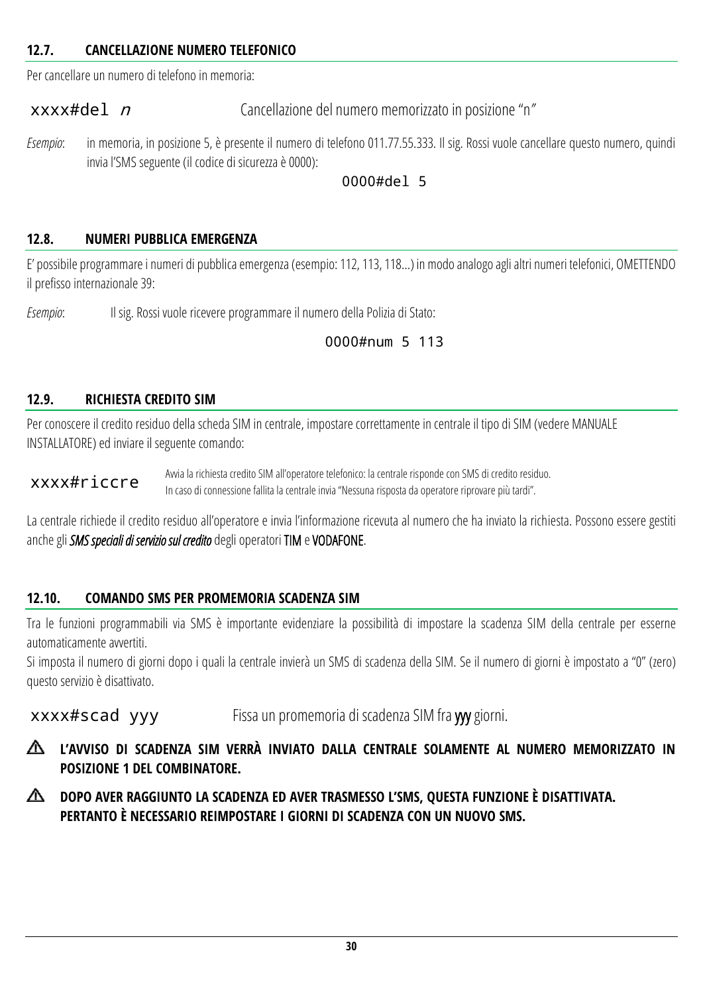#### <span id="page-29-0"></span>**12.7. CANCELLAZIONE NUMERO TELEFONICO**

Per cancellare un numero di telefono in memoria:

xxxx#del *n* Cancellazione del numero memorizzato in posizione "n"

*Esempio*: in memoria, in posizione 5, è presente il numero di telefono 011.77.55.333. Il sig. Rossi vuole cancellare questo numero, quindi invia l'SMS seguente (il codice di sicurezza è 0000):

#### 0000#del 5

#### <span id="page-29-1"></span>**12.8. NUMERI PUBBLICA EMERGENZA**

E' possibile programmare i numeri di pubblica emergenza (esempio: 112, 113, 118…) in modo analogo agli altri numeri telefonici, OMETTENDO il prefisso internazionale 39:

*Esempio*: Il sig. Rossi vuole ricevere programmare il numero della Polizia di Stato:

#### 0000#num 5 113

#### <span id="page-29-2"></span>**12.9. RICHIESTA CREDITO SIM**

Per conoscere il credito residuo della scheda SIM in centrale, impostare correttamente in centrale il tipo di SIM (vedere MANUALE INSTALLATORE) ed inviare il seguente comando:

xxxx#riccre Avvia la richiesta credito SIM all'operatore telefonico: la centrale risponde con SMS di credito residuo. In caso di connessione fallita la centrale invia "Nessuna risposta da operatore riprovare più tardi".

La centrale richiede il credito residuo all'operatore e invia l'informazione ricevuta al numero che ha inviato la richiesta. Possono essere gestiti anche gli *SMS speciali di servizio sul credito* degli operatori TIM e VODAFONE.

#### <span id="page-29-3"></span>**12.10. COMANDO SMS PER PROMEMORIA SCADENZA SIM**

Tra le funzioni programmabili via SMS è importante evidenziare la possibilità di impostare la scadenza SIM della centrale per esserne automaticamente avvertiti.

Si imposta il numero di giorni dopo i quali la centrale invierà un SMS di scadenza della SIM. Se il numero di giorni è impostato a "0" (zero) questo servizio è disattivato.

xxxx#scad yyy Fissa un promemoria di scadenza SIM fra yyy giorni.

- **L'AVVISO DI SCADENZA SIM VERRÀ INVIATO DALLA CENTRALE SOLAMENTE AL NUMERO MEMORIZZATO IN**  ѧ **POSIZIONE 1 DEL COMBINATORE.**
- ∧ **DOPO AVER RAGGIUNTO LA SCADENZA ED AVER TRASMESSO L'SMS, QUESTA FUNZIONE È DISATTIVATA. PERTANTO È NECESSARIO REIMPOSTARE I GIORNI DI SCADENZA CON UN NUOVO SMS.**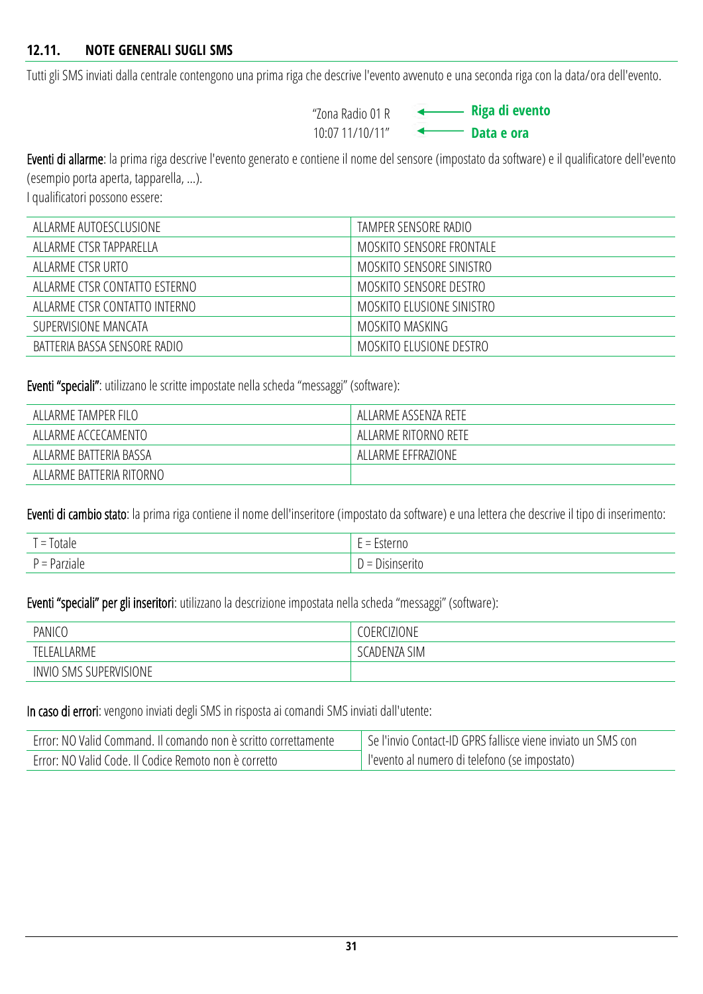<span id="page-30-0"></span>Tutti gli SMS inviati dalla centrale contengono una prima riga che descrive l'evento avvenuto e una seconda riga con la data/ora dell'evento.

"Zona Radio 01 R 10:07 11/10/11"

**Riga di evento Data e ora**

Eventi di allarme: la prima riga descrive l'evento generato e contiene il nome del sensore (impostato da software) e il qualificatore dell'evento (esempio porta aperta, tapparella, …).

I qualificatori possono essere:

| ALLARME AUTOESCLUSIONE        | TAMPER SENSORE RADIO      |
|-------------------------------|---------------------------|
| ALLARME CTSR TAPPARELLA       | MOSKITO SENSORE FRONTALE  |
| ALLARME CTSR URTO             | MOSKITO SENSORE SINISTRO  |
| ALLARME CTSR CONTATTO ESTERNO | MOSKITO SENSORE DESTRO    |
| ALLARME CTSR CONTATTO INTERNO | MOSKITO ELUSIONE SINISTRO |
| SUPERVISIONE MANCATA          | MOSKITO MASKING           |
| BATTERIA BASSA SENSORE RADIO  | MOSKITO ELUSIONE DESTRO   |

Eventi "speciali": utilizzano le scritte impostate nella scheda "messaggi" (software):

| ALLARME TAMPER FILO      | ALLARME ASSENZA RETE |
|--------------------------|----------------------|
| ALLARME ACCECAMENTO      | ALLARME RITORNO RETE |
| ALLARME BATTERIA BASSA   | ALLARME EFFRAZIONE   |
| ALLARME BATTERIA RITORNO |                      |

Eventi di cambio stato: la prima riga contiene il nome dell'inseritore (impostato da software) e una lettera che descrive il tipo di inserimento:

| $=$ lotale   | Esterno<br>$\sim$<br>$\overline{\phantom{0}}$<br><u>.</u><br>.          |
|--------------|-------------------------------------------------------------------------|
| ' = Parziale | $\sqrt{2}$<br>''Isinseritu<br>$\overline{\phantom{0}}$<br>$\equiv$<br>◡ |

Eventi "speciali" per gli inseritori: utilizzano la descrizione impostata nella scheda "messaggi" (software):

| PANICO                                  | <b>COERCIZIONE</b>                |
|-----------------------------------------|-----------------------------------|
| <b>ARME</b><br>TF)<br>⊦AI               | <b>SIM</b><br>` CADEN <i>L</i> A. |
| <b>SMS SUPERVISIONE</b><br><b>INVIO</b> |                                   |

In caso di errori: vengono inviati degli SMS in risposta ai comandi SMS inviati dall'utente:

| Error: NO Valid Command. Il comando non è scritto correttamente | Se l'invio Contact-ID GPRS fallisce viene inviato un SMS con |  |
|-----------------------------------------------------------------|--------------------------------------------------------------|--|
| Error: NO Valid Code. Il Codice Remoto non è corretto           | llevento al numero di telefono (se impostato)                |  |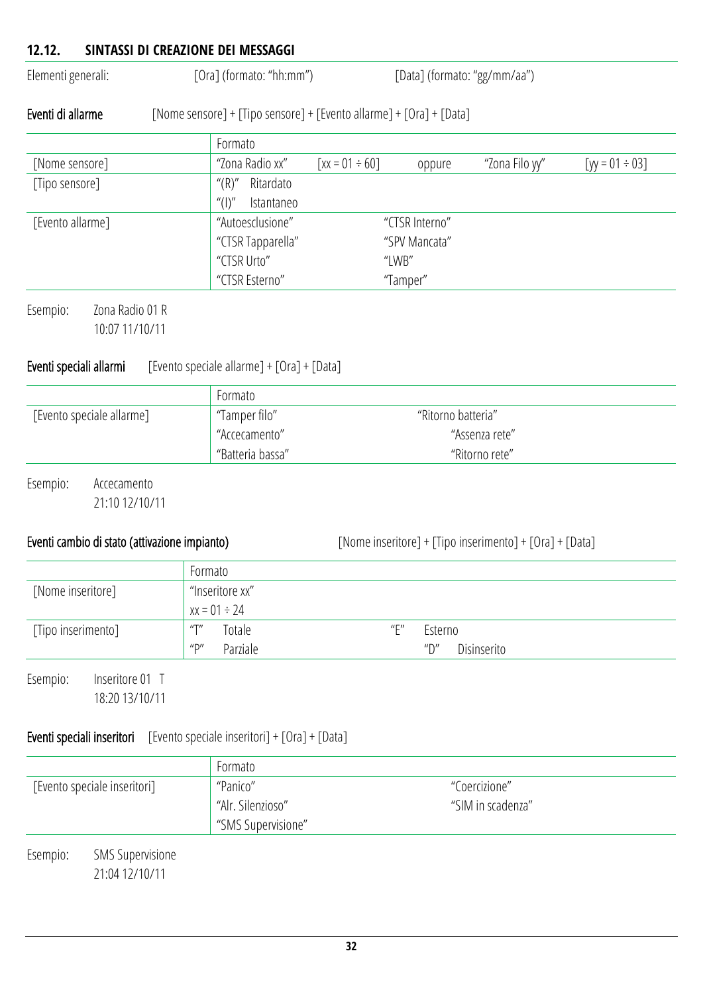## <span id="page-31-0"></span>**12.12. SINTASSI DI CREAZIONE DEI MESSAGGI** Elementi generali: [Ora] (formato: "hh:mm") [Data] (formato: "gg/mm/aa")

#### Eventi di allarme [Nome sensore] + [Tipo sensore] + [Evento allarme] + [Ora] + [Data]

|                  | Formato                               |                        |                |                |                      |
|------------------|---------------------------------------|------------------------|----------------|----------------|----------------------|
| [Nome sensore]   | "Zona Radio xx"                       | $\lceil$ xx = 01 ÷ 60] | oppure         | "Zona Filo yy" | [yy = $01 \div 03$ ] |
| [Tipo sensore]   | ''(R)''<br>Ritardato                  |                        |                |                |                      |
|                  | $^{\prime\prime}$ ( )''<br>Istantaneo |                        |                |                |                      |
| [Evento allarme] | "Autoesclusione"                      |                        | "CTSR Interno" |                |                      |
|                  | "CTSR Tapparella"                     |                        | "SPV Mancata"  |                |                      |
|                  | "CTSR Urto"                           |                        | "LWB"          |                |                      |
|                  | "CTSR Esterno"                        |                        | "Tamper"       |                |                      |
|                  |                                       |                        |                |                |                      |

Esempio: Zona Radio 01 R 10:07 11/10/11

#### Eventi speciali allarmi [Evento speciale allarme] + [Ora] + [Data]

|                           | Formato          |                    |
|---------------------------|------------------|--------------------|
| [Evento speciale allarme] | ' "Tamper filo"  | "Ritorno batteria" |
|                           | "Accecamento"    | "Assenza rete"     |
|                           | "Batteria bassa" | "Ritorno rete"     |
|                           |                  |                    |

Esempio: Accecamento 21:10 12/10/11

Eventi cambio di stato (attivazione impianto) [Nome inseritore] + [Tipo inserimento] + [Ora] + [Data]

|                    | Formato                                           |                                                      |
|--------------------|---------------------------------------------------|------------------------------------------------------|
| [Nome inseritore]  | "Inseritore xx"                                   |                                                      |
|                    | $x = 01 \div 24$                                  |                                                      |
| [Tipo inserimento] | $^{\prime\prime\prime\prime}$<br>Totale           | $^{\prime\prime}$ $\Gamma^{\prime\prime}$<br>Esterno |
|                    | $^{\prime\prime}$ D $^{\prime\prime}$<br>Parziale | $^{\prime\prime}$<br>Disinserito                     |

Esempio: Inseritore 01 T 18:20 13/10/11

### Eventi speciali inseritori [Evento speciale inseritori] + [Ora] + [Data]

|                              |                                           | Formato                                 |                   |  |
|------------------------------|-------------------------------------------|-----------------------------------------|-------------------|--|
| [Evento speciale inseritori] |                                           | "Panico"                                | "Coercizione"     |  |
|                              |                                           | "Alr. Silenzioso"<br>"SMS Supervisione" | "SIM in scadenza" |  |
| Esempio:                     | <b>SMS Supervisione</b><br>21:04 12/10/11 |                                         |                   |  |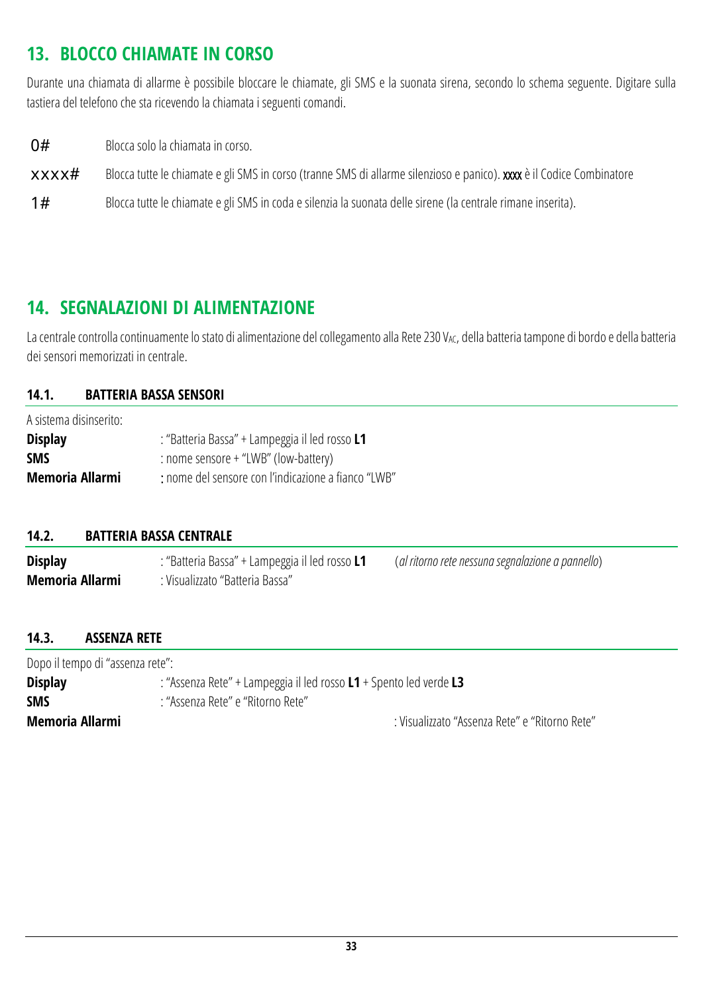## <span id="page-32-0"></span>**13. BLOCCO CHIAMATE IN CORSO**

Durante una chiamata di allarme è possibile bloccare le chiamate, gli SMS e la suonata sirena, secondo lo schema seguente. Digitare sulla tastiera del telefono che sta ricevendo la chiamata i seguenti comandi.

**O#** Blocca solo la chiamata in corso.

xxxx# Blocca tutte le chiamate e gli SMS in corso (tranne SMS diallarme silenzioso e panico). xxxx è il Codice Combinatore

1# Blocca tutte le chiamate e gli SMS in coda e silenzia la suonata delle sirene (la centrale rimane inserita).

### <span id="page-32-1"></span>**14. SEGNALAZIONI DI ALIMENTAZIONE**

La centrale controlla continuamente lo stato di alimentazione del collegamento alla Rete 230 V<sub>AC</sub>, della batteria tampone di bordo e della batteria dei sensori memorizzati in centrale.

#### <span id="page-32-2"></span>**14.1. BATTERIA BASSA SENSORI**

A sistema disinserito: **Display** : "Batteria Bassa" + Lampeggia il led rosso **L1 SMS** : nome sensore + "LWB" (low-battery) **Memoria Allarmi** : nome del sensore con l'indicazione a fianco "LWB"

#### <span id="page-32-3"></span>**14.2. BATTERIA BASSA CENTRALE**

**Display** : "Batteria Bassa" + Lampeggia il led rosso **L1** (*al ritorno rete nessuna segnalazione a pannello*) **Memoria Allarmi**: Visualizzato "Batteria Bassa"

#### <span id="page-32-4"></span>**14.3. ASSENZA RETE**

Dopo il tempo di "assenza rete":

| <b>Display</b>  | : "Assenza Rete" + Lampeggia il led rosso L1 + Spento led verde L3 |  |  |
|-----------------|--------------------------------------------------------------------|--|--|
| <b>SMS</b>      | : "Assenza Rete" e "Ritorno Rete"                                  |  |  |
| Memoria Allarmi | : Visualizzato "Assenza Rete" e "Ritorno Rete"                     |  |  |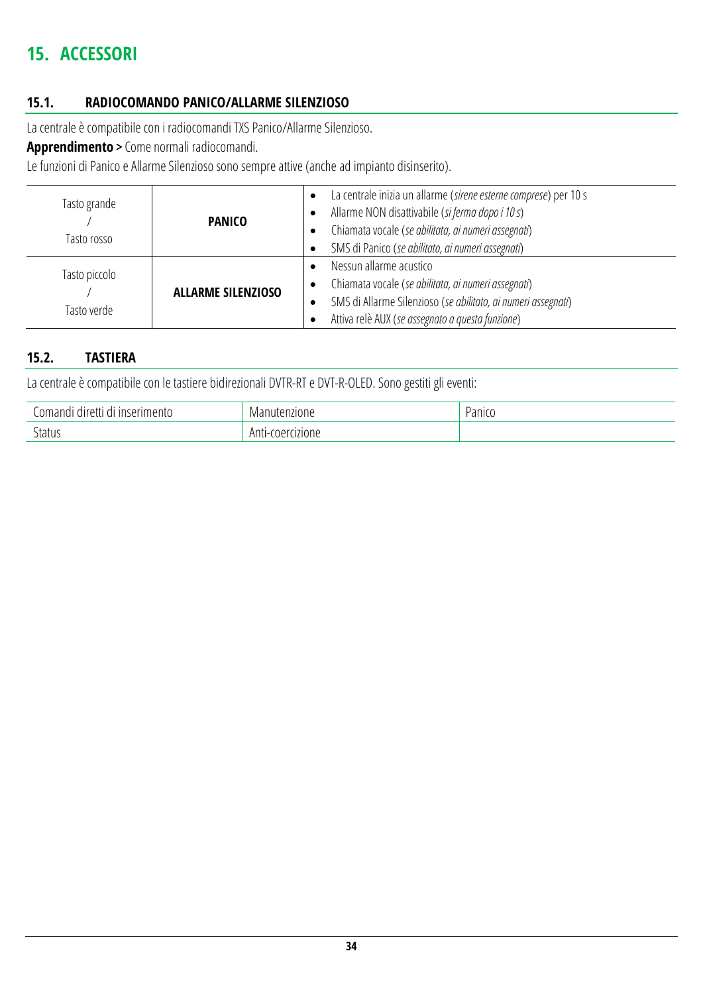## <span id="page-33-0"></span>**15. ACCESSORI**

#### <span id="page-33-1"></span>**15.1. RADIOCOMANDO PANICO/ALLARME SILENZIOSO**

La centrale è compatibile con i radiocomandi TXS Panico/Allarme Silenzioso.

**Apprendimento** > Come normali radiocomandi.

Le funzioni di Panico e Allarme Silenzioso sono sempre attive (anche ad impianto disinserito).

| Tasto grande<br>Tasto rosso  | <b>PANICO</b>             | La centrale inizia un allarme (sirene esterne comprese) per 10 s<br>Allarme NON disattivabile (si ferma dopo i 10 s)<br>Chiamata vocale (se abilitata, ai numeri assegnati)<br>SMS di Panico (se abilitato, ai numeri assegnati) |
|------------------------------|---------------------------|----------------------------------------------------------------------------------------------------------------------------------------------------------------------------------------------------------------------------------|
| Tasto piccolo<br>Tasto verde | <b>ALLARME SILENZIOSO</b> | Nessun allarme acustico<br>Chiamata vocale (se abilitata, ai numeri assegnati)<br>$\bullet$<br>SMS di Allarme Silenzioso (se abilitato, ai numeri assegnati)<br>Attiva relè AUX (se assegnato a questa funzione)                 |

### <span id="page-33-2"></span>**15.2. TASTIERA**

La centrale è compatibile con le tastiere bidirezionali DVTR-RT e DVT-R-OLED. Sono gestiti gli eventi:

| i inserimento<br>Jomandi<br>diretti<br>$\sim$<br>- 941 | Manutenzione         | Panico |
|--------------------------------------------------------|----------------------|--------|
| Status                                                 | Anti-<br>coercizione |        |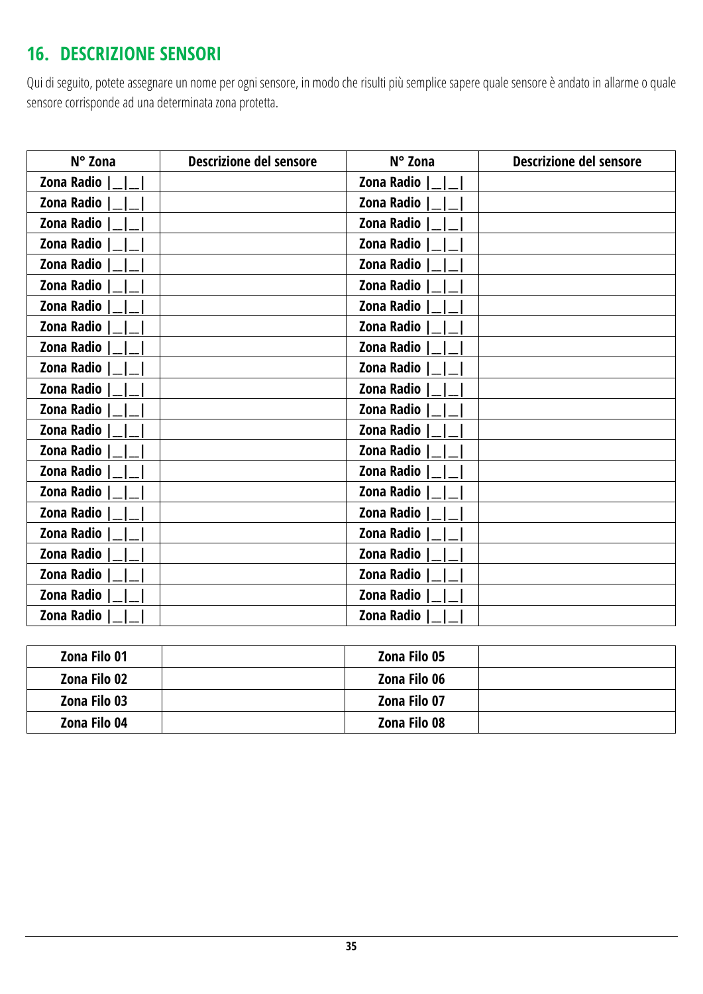## <span id="page-34-0"></span>**16. DESCRIZIONE SENSORI**

Qui di seguito, potete assegnare un nome per ogni sensore, in modo che risulti più semplice sapere quale sensore è andato in allarme o quale sensore corrisponde ad una determinata zona protetta.

| N° Zona    | <b>Descrizione del sensore</b> | N° Zona           | <b>Descrizione del sensore</b> |
|------------|--------------------------------|-------------------|--------------------------------|
| Zona Radio |                                | Zona Radio        |                                |
| Zona Radio |                                | Zona Radio        |                                |
| Zona Radio |                                | <b>Zona Radio</b> |                                |
| Zona Radio |                                | Zona Radio        |                                |
| Zona Radio |                                | Zona Radio        |                                |
| Zona Radio |                                | Zona Radio        |                                |
| Zona Radio |                                | Zona Radio        |                                |
| Zona Radio |                                | <b>Zona Radio</b> |                                |
| Zona Radio |                                | Zona Radio        |                                |
| Zona Radio |                                | Zona Radio        |                                |
| Zona Radio |                                | Zona Radio        |                                |
| Zona Radio |                                | Zona Radio        |                                |
| Zona Radio |                                | <b>Zona Radio</b> |                                |
| Zona Radio |                                | Zona Radio        |                                |
| Zona Radio |                                | Zona Radio        |                                |
| Zona Radio |                                | <b>Zona Radio</b> |                                |
| Zona Radio |                                | Zona Radio        |                                |
| Zona Radio |                                | Zona Radio        |                                |
| Zona Radio |                                | Zona Radio        |                                |
| Zona Radio |                                | Zona Radio        |                                |
| Zona Radio |                                | <b>Zona Radio</b> |                                |
| Zona Radio |                                | Zona Radio        |                                |

| Zona Filo 01 | Zona Filo 05 |  |
|--------------|--------------|--|
| Zona Filo 02 | Zona Filo 06 |  |
| Zona Filo 03 | Zona Filo 07 |  |
| Zona Filo 04 | Zona Filo 08 |  |